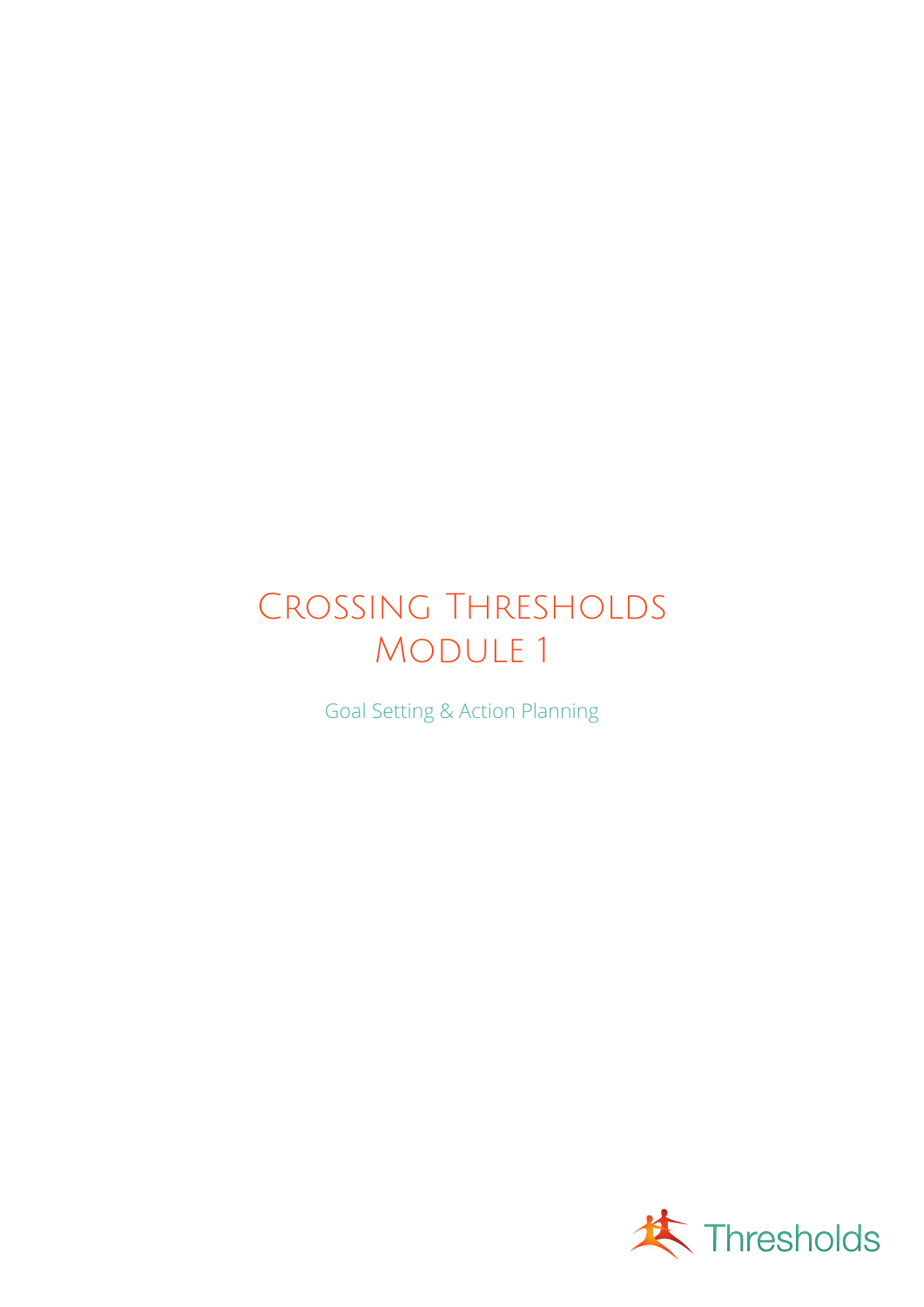# Crossing Thresholds Module 1

Goal Setting & Action Planning

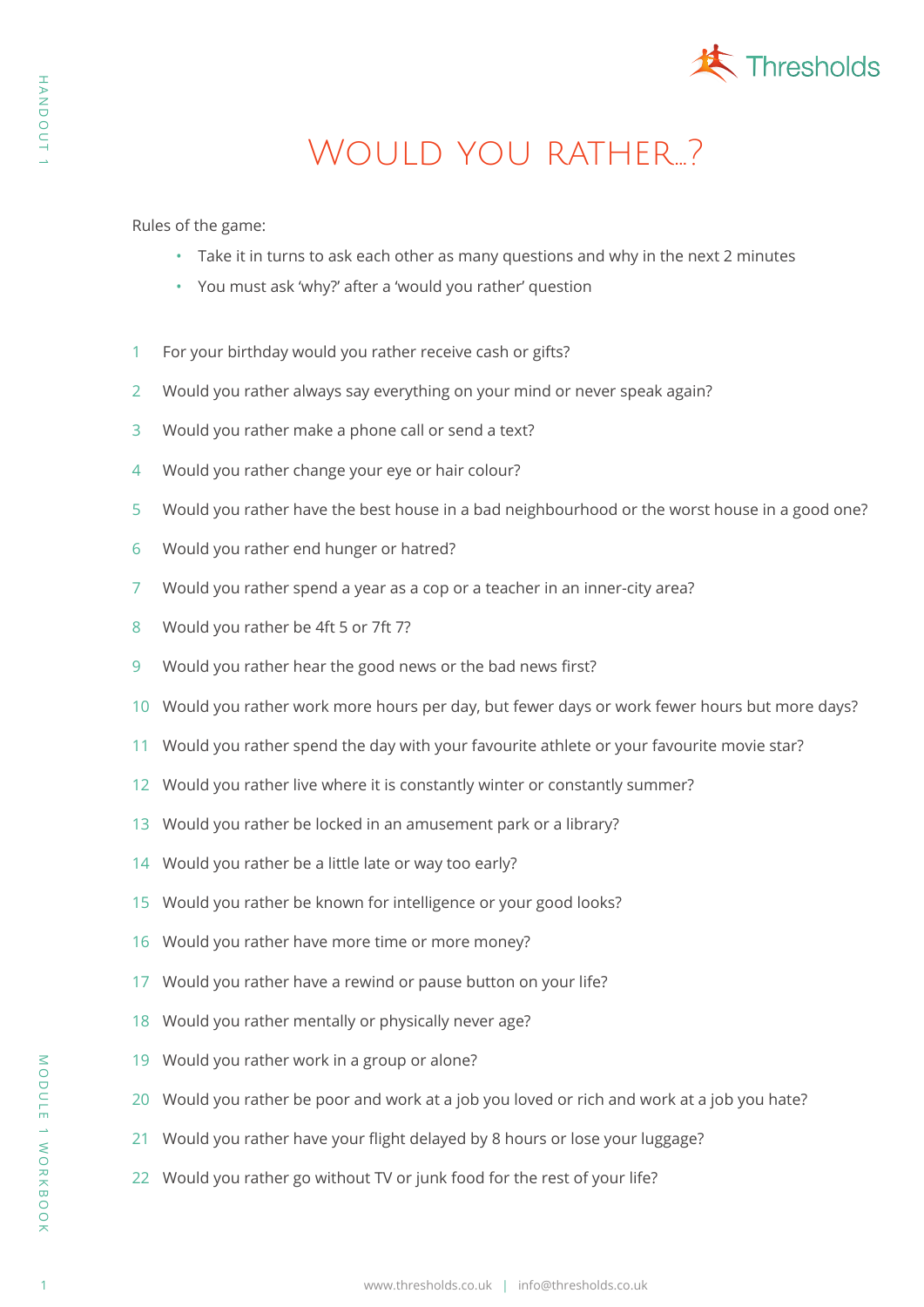

# WOULD YOU RATHER...?

Rules of the game:

- Take it in turns to ask each other as many questions and why in the next 2 minutes
- You must ask 'why?' after a 'would you rather' question
- For your birthday would you rather receive cash or gifts?
- Would you rather always say everything on your mind or never speak again?
- Would you rather make a phone call or send a text?
- Would you rather change your eye or hair colour?
- Would you rather have the best house in a bad neighbourhood or the worst house in a good one?
- Would you rather end hunger or hatred?
- Would you rather spend a year as a cop or a teacher in an inner-city area?
- Would you rather be 4ft 5 or 7ft 7?
- 9 Would you rather hear the good news or the bad news first?
- Would you rather work more hours per day, but fewer days or work fewer hours but more days?
- Would you rather spend the day with your favourite athlete or your favourite movie star?
- Would you rather live where it is constantly winter or constantly summer?
- Would you rather be locked in an amusement park or a library?
- Would you rather be a little late or way too early?
- Would you rather be known for intelligence or your good looks?
- Would you rather have more time or more money?
- Would you rather have a rewind or pause button on your life?
- Would you rather mentally or physically never age?
- Would you rather work in a group or alone?
- Would you rather be poor and work at a job you loved or rich and work at a job you hate?
- 21 Would you rather have your flight delayed by 8 hours or lose your luggage?
- Would you rather go without TV or junk food for the rest of your life?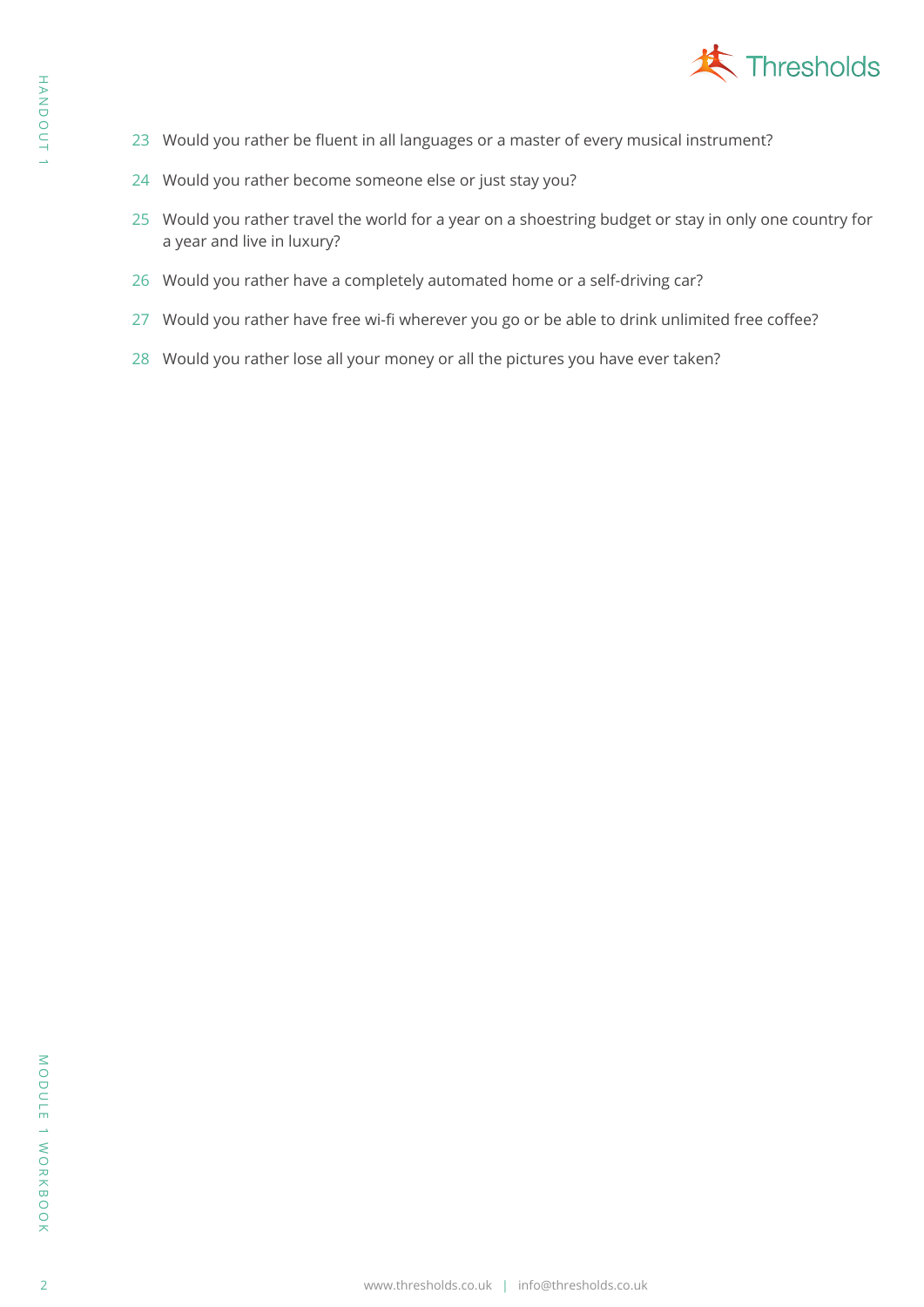

- 23 Would you rather be fluent in all languages or a master of every musical instrument?
- 24 Would you rather become someone else or just stay you?
- 25 Would you rather travel the world for a year on a shoestring budget or stay in only one country for a year and live in luxury?
- 26 Would you rather have a completely automated home or a self-driving car?
- 27 Would you rather have free wi-fi wherever you go or be able to drink unlimited free coffee?
- 28 Would you rather lose all your money or all the pictures you have ever taken?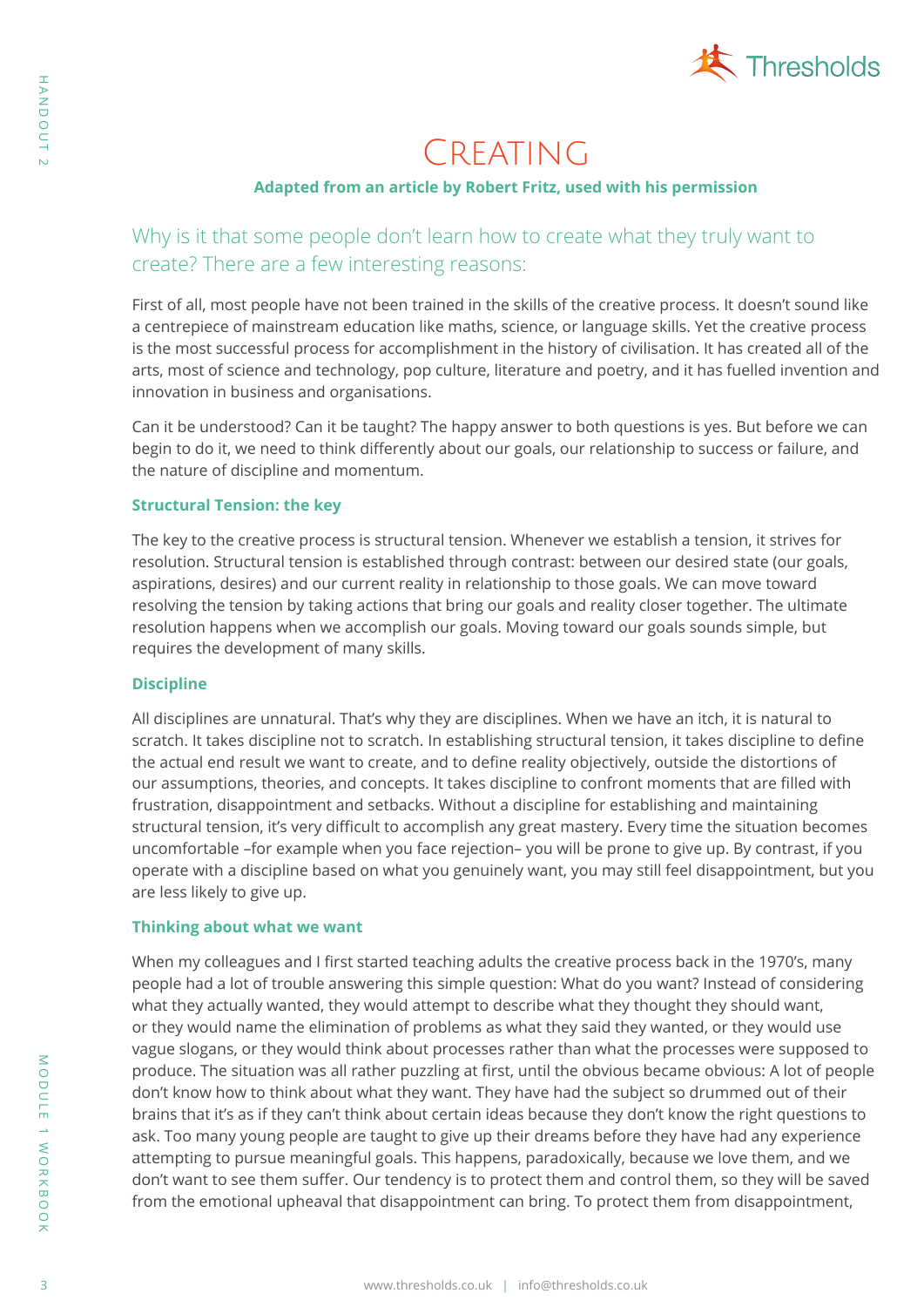

# CREATING

## **Adapted from an article by Robert Fritz, used with his permission**

Why is it that some people don't learn how to create what they truly want to create? There are a few interesting reasons:

First of all, most people have not been trained in the skills of the creative process. It doesn't sound like a centrepiece of mainstream education like maths, science, or language skills. Yet the creative process is the most successful process for accomplishment in the history of civilisation. It has created all of the arts, most of science and technology, pop culture, literature and poetry, and it has fuelled invention and innovation in business and organisations.

Can it be understood? Can it be taught? The happy answer to both questions is yes. But before we can begin to do it, we need to think differently about our goals, our relationship to success or failure, and the nature of discipline and momentum.

#### **Structural Tension: the key**

The key to the creative process is structural tension. Whenever we establish a tension, it strives for resolution. Structural tension is established through contrast: between our desired state (our goals, aspirations, desires) and our current reality in relationship to those goals. We can move toward resolving the tension by taking actions that bring our goals and reality closer together. The ultimate resolution happens when we accomplish our goals. Moving toward our goals sounds simple, but requires the development of many skills.

### **Discipline**

All disciplines are unnatural. That's why they are disciplines. When we have an itch, it is natural to scratch. It takes discipline not to scratch. In establishing structural tension, it takes discipline to define the actual end result we want to create, and to define reality objectively, outside the distortions of our assumptions, theories, and concepts. It takes discipline to confront moments that are filled with frustration, disappointment and setbacks. Without a discipline for establishing and maintaining structural tension, it's very difficult to accomplish any great mastery. Every time the situation becomes uncomfortable –for example when you face rejection– you will be prone to give up. By contrast, if you operate with a discipline based on what you genuinely want, you may still feel disappointment, but you are less likely to give up.

#### **Thinking about what we want**

When my colleagues and I first started teaching adults the creative process back in the 1970's, many people had a lot of trouble answering this simple question: What do you want? Instead of considering what they actually wanted, they would attempt to describe what they thought they should want, or they would name the elimination of problems as what they said they wanted, or they would use vague slogans, or they would think about processes rather than what the processes were supposed to produce. The situation was all rather puzzling at first, until the obvious became obvious: A lot of people don't know how to think about what they want. They have had the subject so drummed out of their brains that it's as if they can't think about certain ideas because they don't know the right questions to ask. Too many young people are taught to give up their dreams before they have had any experience attempting to pursue meaningful goals. This happens, paradoxically, because we love them, and we don't want to see them suffer. Our tendency is to protect them and control them, so they will be saved from the emotional upheaval that disappointment can bring. To protect them from disappointment,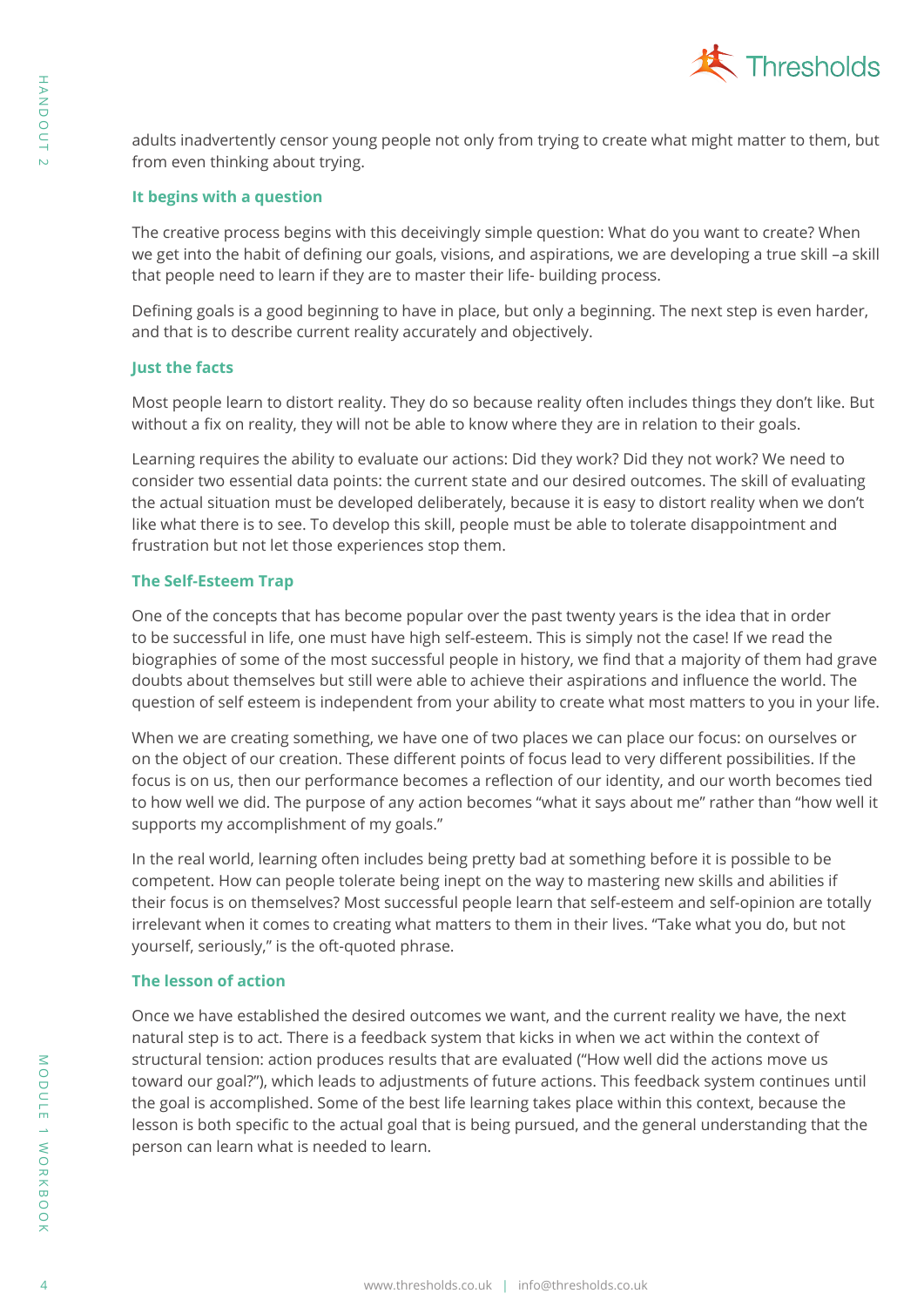

adults inadvertently censor young people not only from trying to create what might matter to them, but from even thinking about trying.

#### **It begins with a question**

The creative process begins with this deceivingly simple question: What do you want to create? When we get into the habit of defining our goals, visions, and aspirations, we are developing a true skill –a skill that people need to learn if they are to master their life- building process.

Defining goals is a good beginning to have in place, but only a beginning. The next step is even harder, and that is to describe current reality accurately and objectively.

#### **Just the facts**

Most people learn to distort reality. They do so because reality often includes things they don't like. But without a fix on reality, they will not be able to know where they are in relation to their goals.

Learning requires the ability to evaluate our actions: Did they work? Did they not work? We need to consider two essential data points: the current state and our desired outcomes. The skill of evaluating the actual situation must be developed deliberately, because it is easy to distort reality when we don't like what there is to see. To develop this skill, people must be able to tolerate disappointment and frustration but not let those experiences stop them.

### **The Self-Esteem Trap**

One of the concepts that has become popular over the past twenty years is the idea that in order to be successful in life, one must have high self-esteem. This is simply not the case! If we read the biographies of some of the most successful people in history, we find that a majority of them had grave doubts about themselves but still were able to achieve their aspirations and influence the world. The question of self esteem is independent from your ability to create what most matters to you in your life.

When we are creating something, we have one of two places we can place our focus: on ourselves or on the object of our creation. These different points of focus lead to very different possibilities. If the focus is on us, then our performance becomes a reflection of our identity, and our worth becomes tied to how well we did. The purpose of any action becomes "what it says about me" rather than "how well it supports my accomplishment of my goals."

In the real world, learning often includes being pretty bad at something before it is possible to be competent. How can people tolerate being inept on the way to mastering new skills and abilities if their focus is on themselves? Most successful people learn that self-esteem and self-opinion are totally irrelevant when it comes to creating what matters to them in their lives. "Take what you do, but not yourself, seriously," is the oft-quoted phrase.

### **The lesson of action**

Once we have established the desired outcomes we want, and the current reality we have, the next natural step is to act. There is a feedback system that kicks in when we act within the context of structural tension: action produces results that are evaluated ("How well did the actions move us toward our goal?"), which leads to adjustments of future actions. This feedback system continues until the goal is accomplished. Some of the best life learning takes place within this context, because the lesson is both specific to the actual goal that is being pursued, and the general understanding that the person can learn what is needed to learn.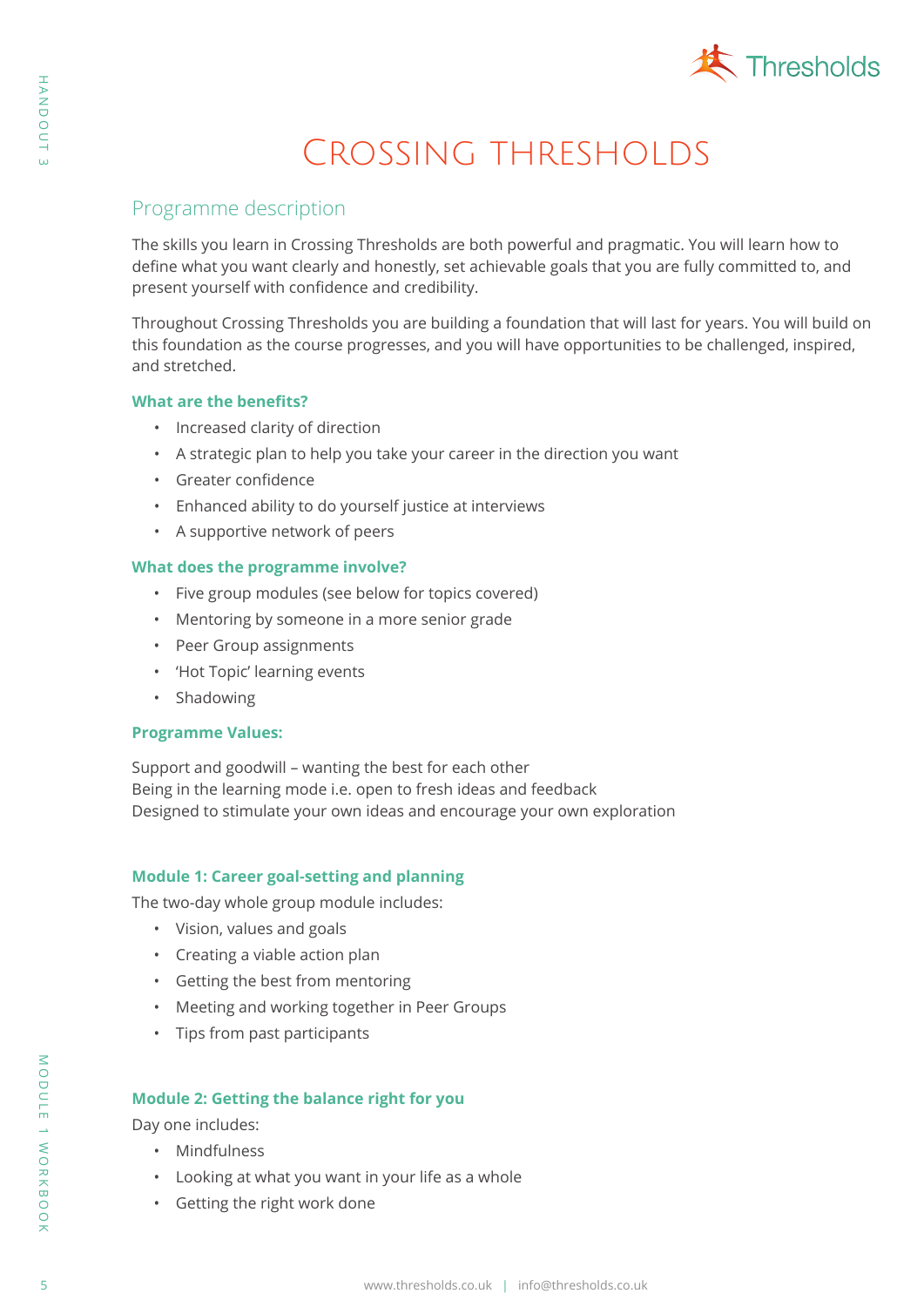

# Crossing thresholds

# Programme description

The skills you learn in Crossing Thresholds are both powerful and pragmatic. You will learn how to define what you want clearly and honestly, set achievable goals that you are fully committed to, and present yourself with confidence and credibility.

Throughout Crossing Thresholds you are building a foundation that will last for years. You will build on this foundation as the course progresses, and you will have opportunities to be challenged, inspired, and stretched.

### **What are the benefits?**

- Increased clarity of direction
- A strategic plan to help you take your career in the direction you want
- • Greater confidence
- Enhanced ability to do yourself justice at interviews
- A supportive network of peers

## **What does the programme involve?**

- Five group modules (see below for topics covered)
- Mentoring by someone in a more senior grade
- Peer Group assignments
- 'Hot Topic' learning events
- Shadowing

### **Programme Values:**

Support and goodwill – wanting the best for each other Being in the learning mode i.e. open to fresh ideas and feedback Designed to stimulate your own ideas and encourage your own exploration

# **Module 1: Career goal-setting and planning**

The two-day whole group module includes:

- Vision, values and goals
- Creating a viable action plan
- Getting the best from mentoring
- Meeting and working together in Peer Groups
- Tips from past participants

# **Module 2: Getting the balance right for you**

Day one includes:

- Mindfulness
- Looking at what you want in your life as a whole
- Getting the right work done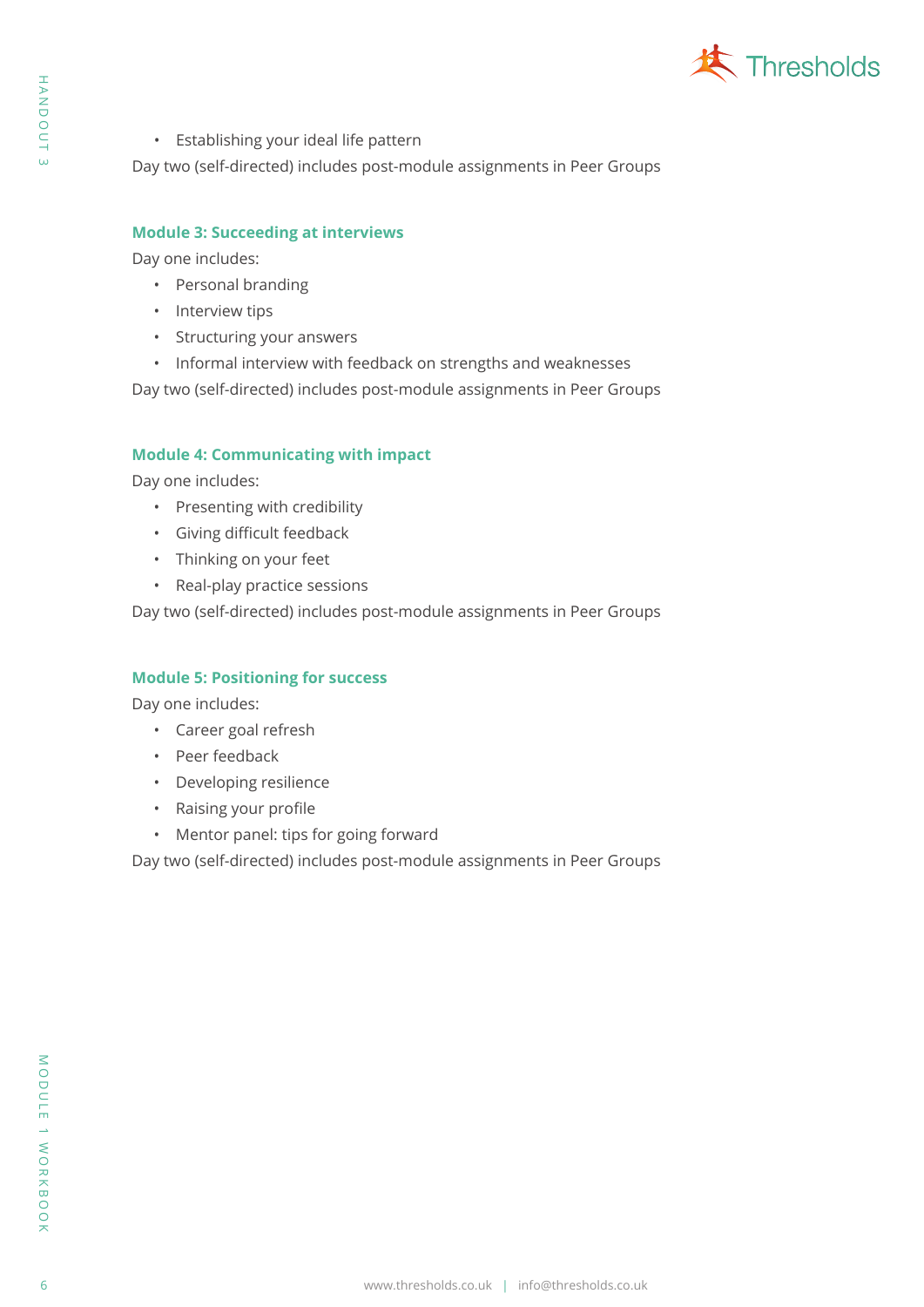

• Establishing your ideal life pattern

Day two (self-directed) includes post-module assignments in Peer Groups

#### **Module 3: Succeeding at interviews**

Day one includes:

- Personal branding
- Interview tips
- Structuring your answers
- Informal interview with feedback on strengths and weaknesses

Day two (self-directed) includes post-module assignments in Peer Groups

#### **Module 4: Communicating with impact**

Day one includes:

- Presenting with credibility
- • Giving difficult feedback
- Thinking on your feet
- Real-play practice sessions

Day two (self-directed) includes post-module assignments in Peer Groups

#### **Module 5: Positioning for success**

Day one includes:

- Career goal refresh
- Peer feedback
- Developing resilience
- • Raising your profile
- Mentor panel: tips for going forward

Day two (self-directed) includes post-module assignments in Peer Groups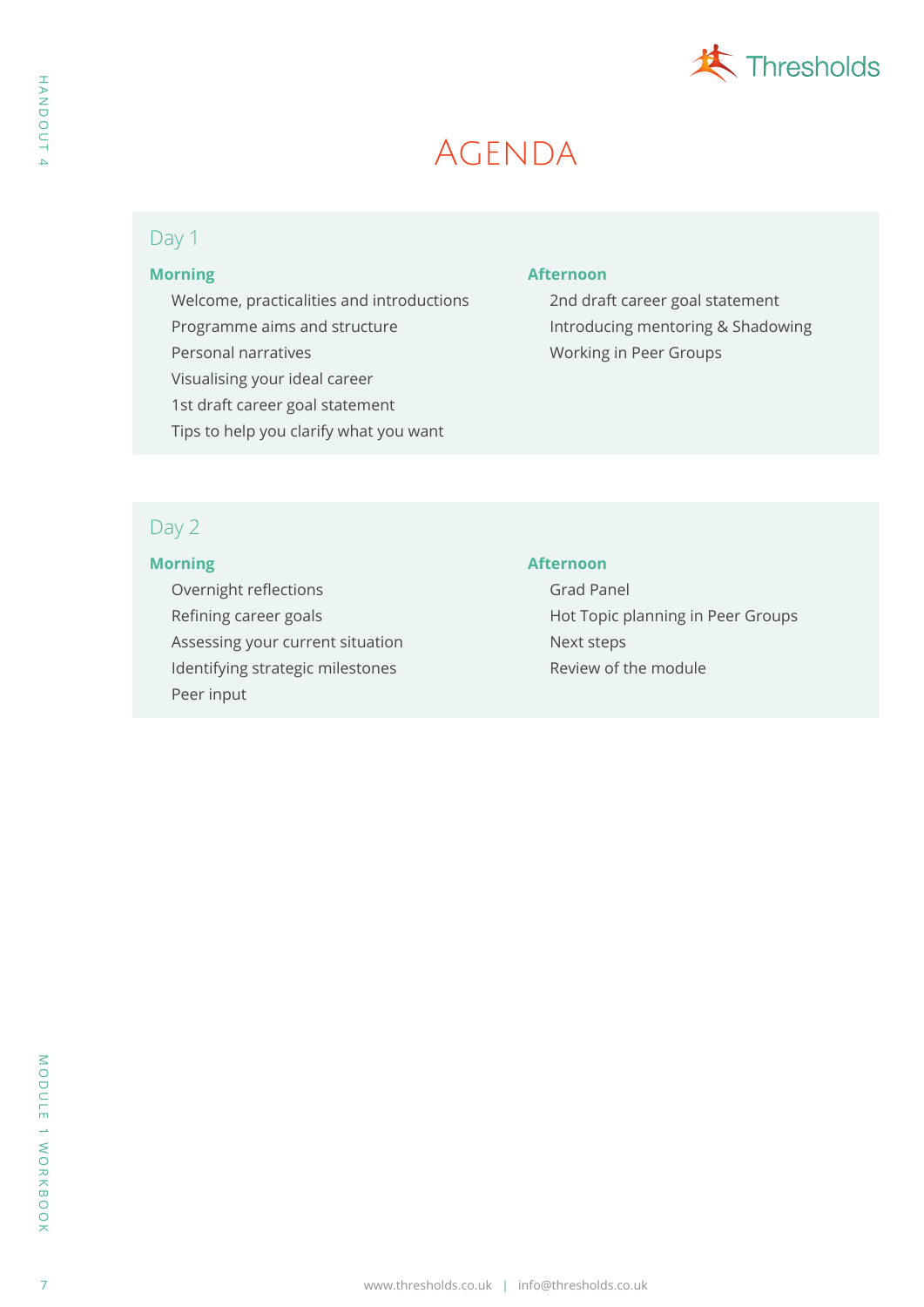

# **AGENDA**

# Day 1

#### **Morning**

Welcome, practicalities and introductions Programme aims and structure

Personal narratives

Visualising your ideal career

1st draft career goal statement

Tips to help you clarify what you want

### **Afternoon**

2nd draft career goal statement Introducing mentoring & Shadowing Working in Peer Groups

# Day 2

### **Morning**

Overnight reflections Refining career goals Assessing your current situation Identifying strategic milestones Peer input

## **Afternoon**

Grad Panel Hot Topic planning in Peer Groups Next steps Review of the module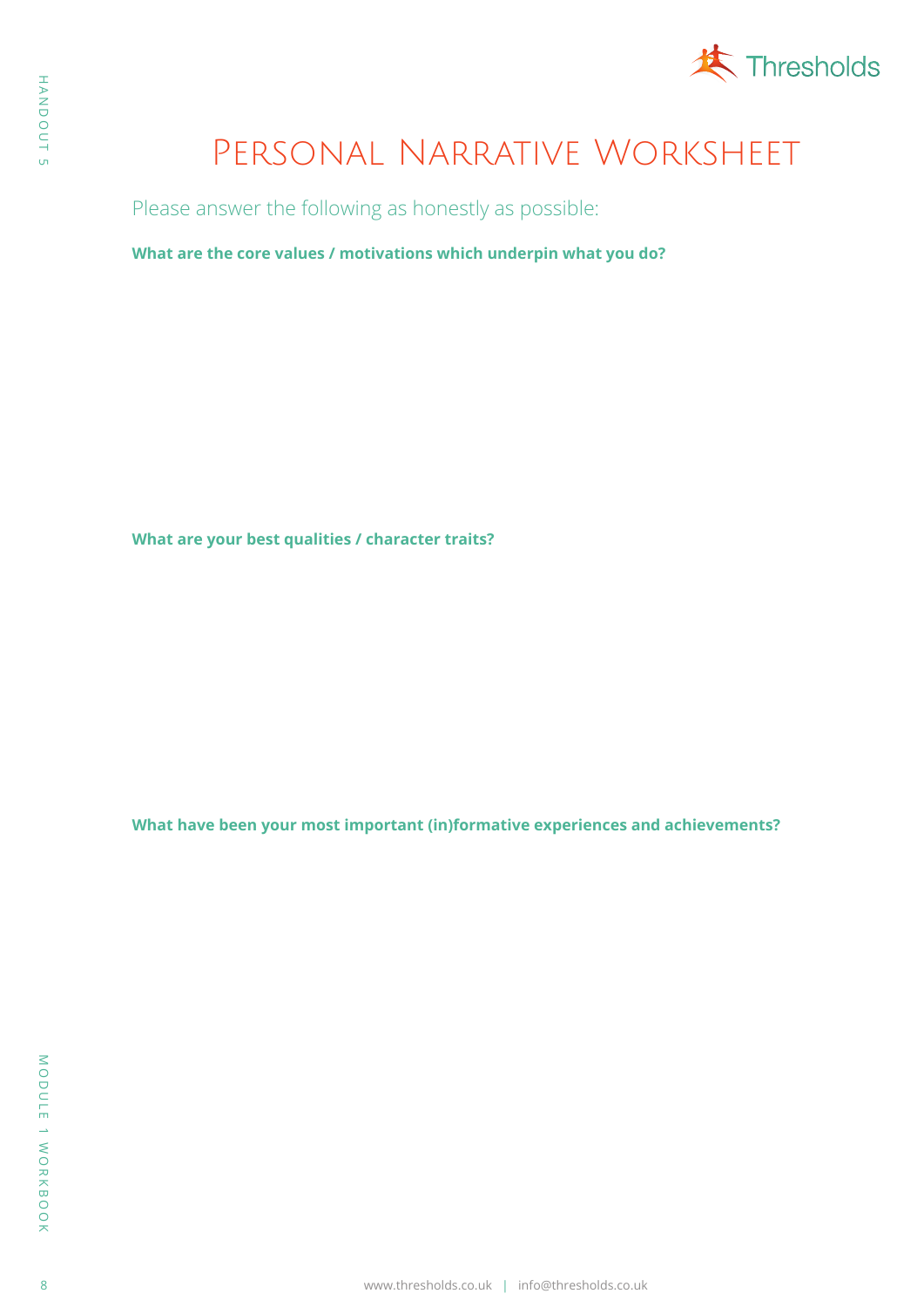

# Personal Narrative Worksheet

Please answer the following as honestly as possible:

**What are the core values / motivations which underpin what you do?**

**What are your best qualities / character traits?**

**What have been your most important (in)formative experiences and achievements?**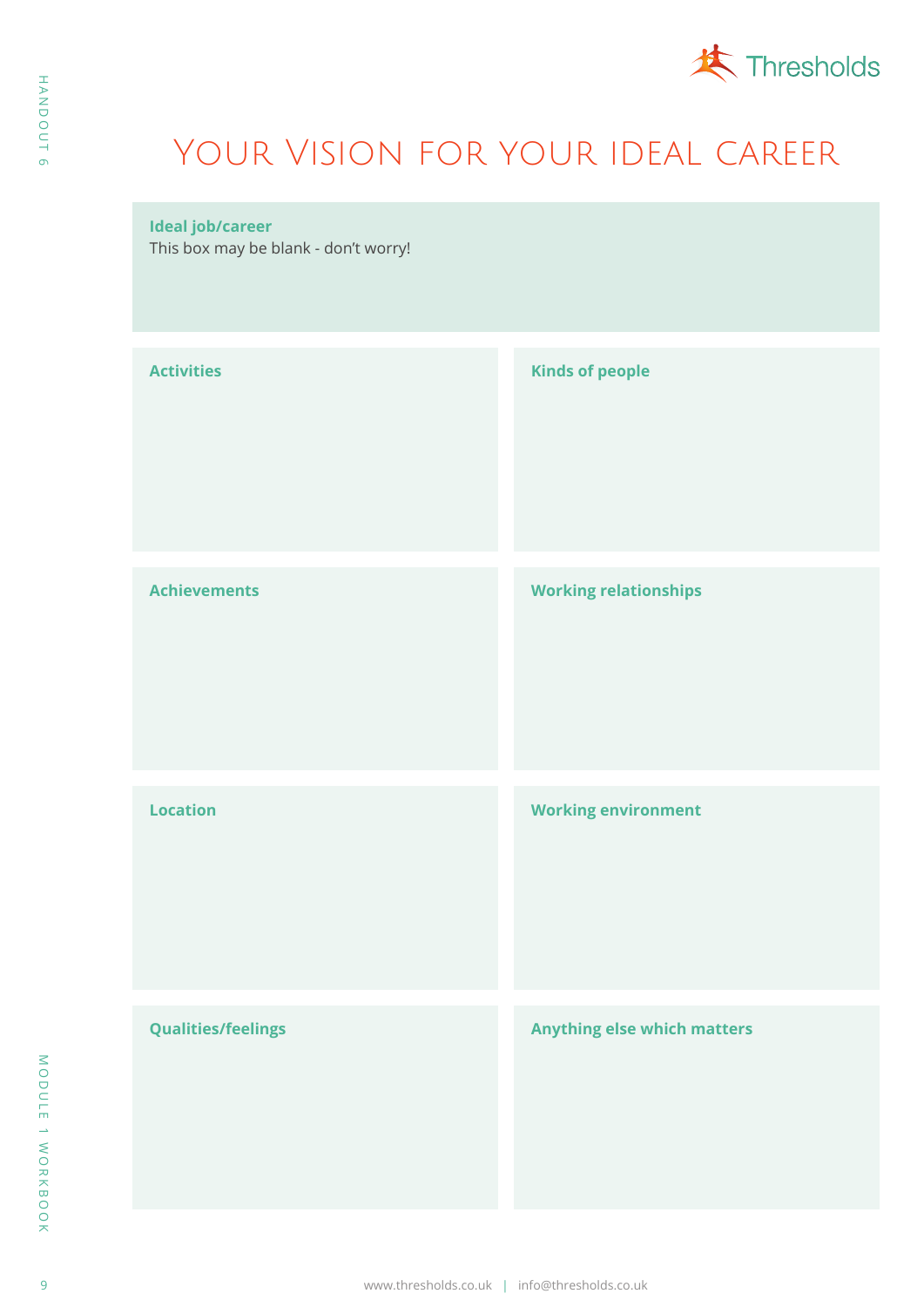

# Your Vision for your ideal career

# **Ideal job/career**

This box may be blank - don't worry!

| <b>Activities</b>         | <b>Kinds of people</b>             |
|---------------------------|------------------------------------|
| <b>Achievements</b>       | <b>Working relationships</b>       |
| <b>Location</b>           | <b>Working environment</b>         |
| <b>Qualities/feelings</b> | <b>Anything else which matters</b> |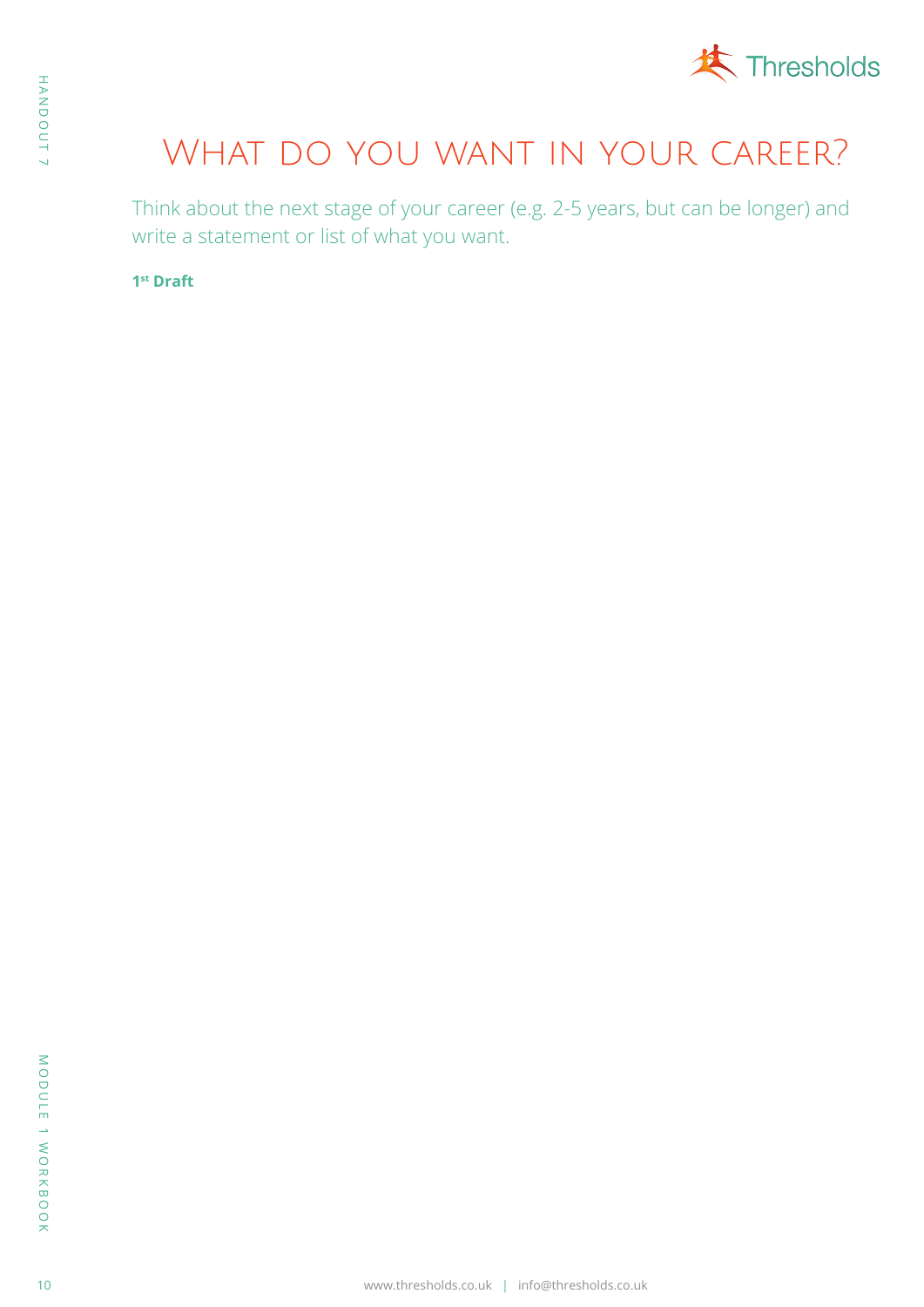

# What do you want in your career?

Think about the next stage of your career (e.g. 2-5 years, but can be longer) and write a statement or list of what you want.

**1st Draft**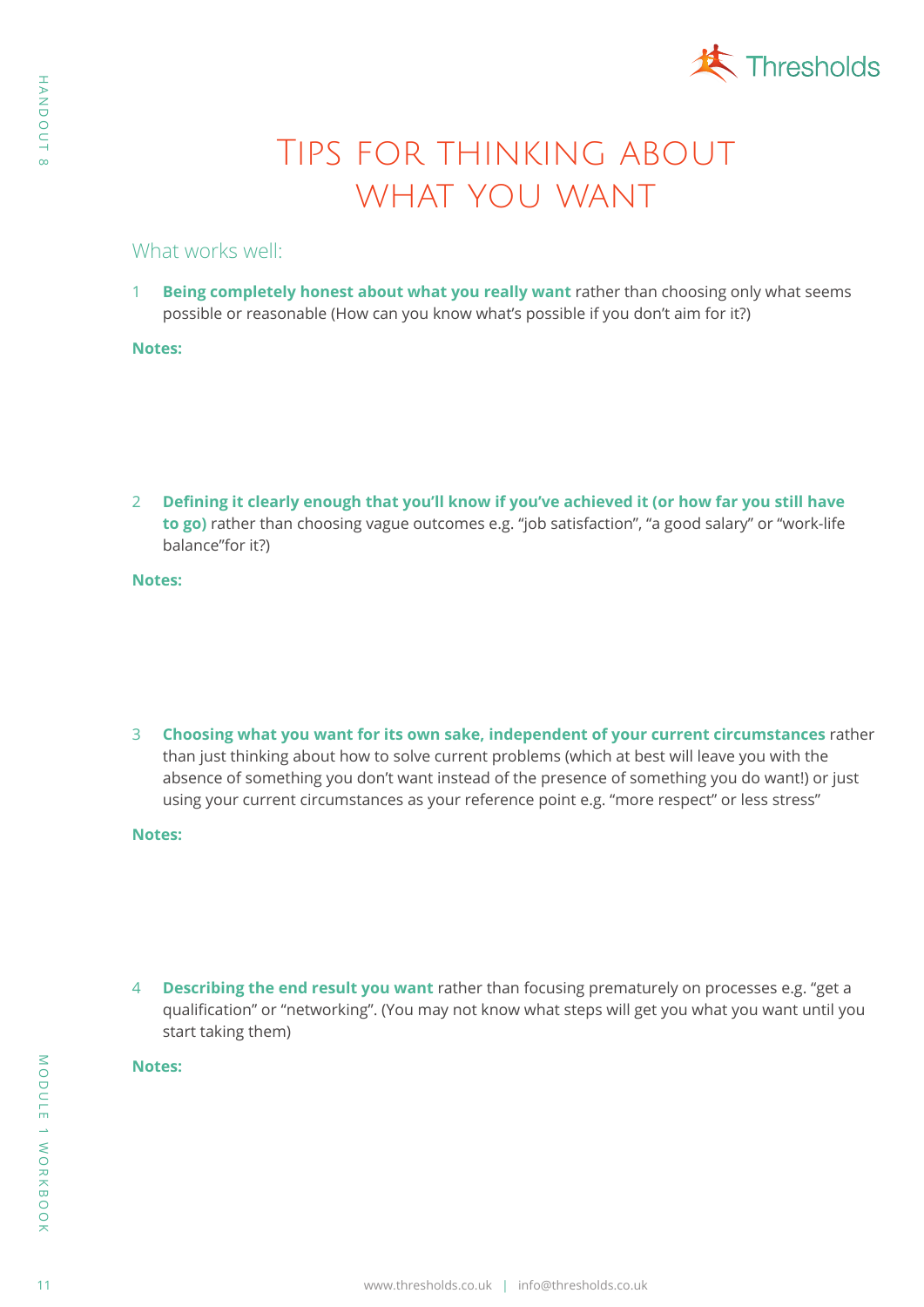

# Tips for thinking about what you want

# What works well:

1 **Being completely honest about what you really want** rather than choosing only what seems possible or reasonable (How can you know what's possible if you don't aim for it?)

**Notes:**

2 **Defining it clearly enough that you'll know if you've achieved it (or how far you still have to go)** rather than choosing vague outcomes e.g. "job satisfaction", "a good salary" or "work-life balance"for it?)

#### **Notes:**

3 **Choosing what you want for its own sake, independent of your current circumstances** rather than just thinking about how to solve current problems (which at best will leave you with the absence of something you don't want instead of the presence of something you do want!) or just using your current circumstances as your reference point e.g. "more respect" or less stress"

#### **Notes:**

4 **Describing the end result you want** rather than focusing prematurely on processes e.g. "get a qualification" or "networking". (You may not know what steps will get you what you want until you start taking them)

**Notes:**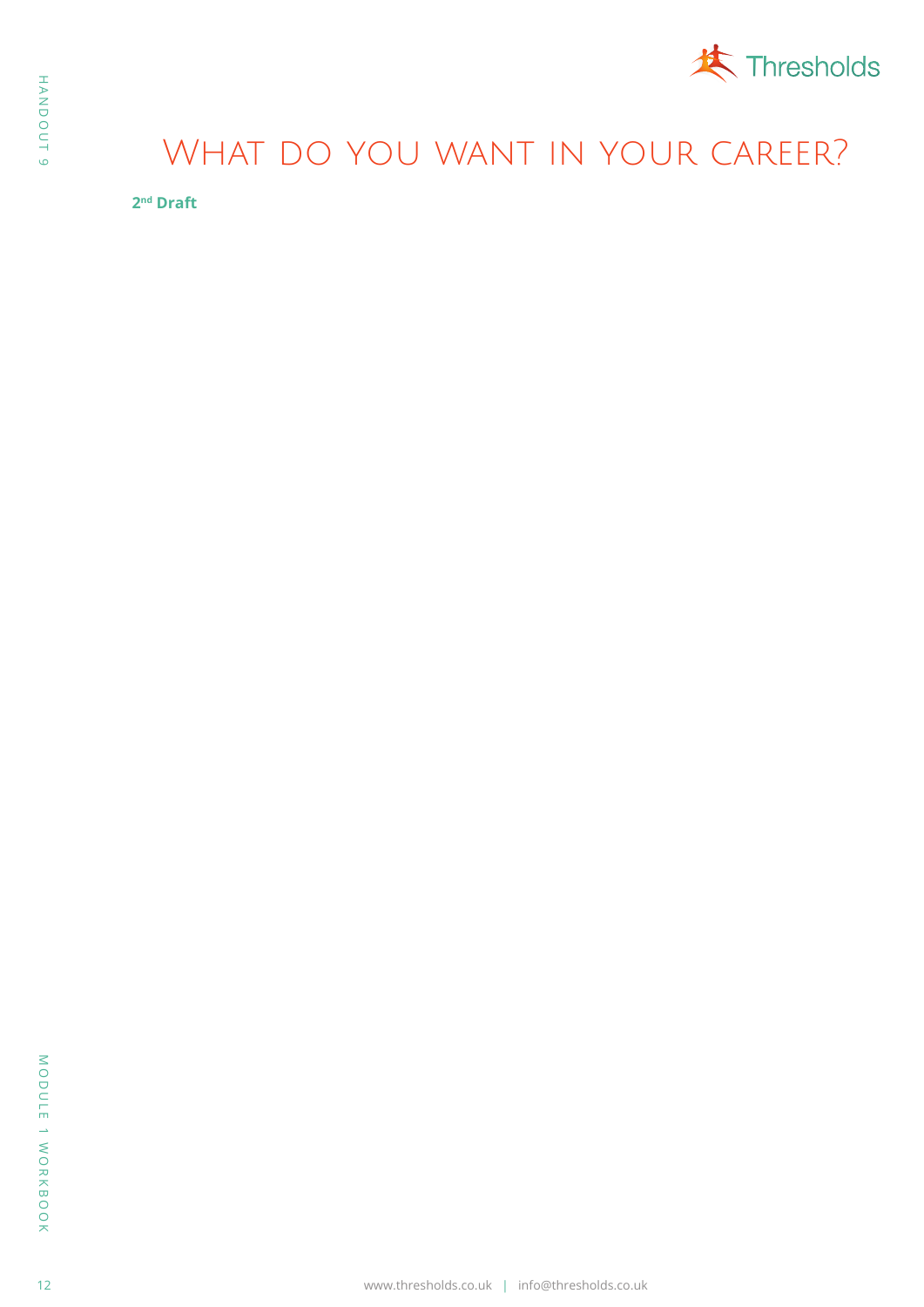

# What do you want in your career?

**2nd Draft**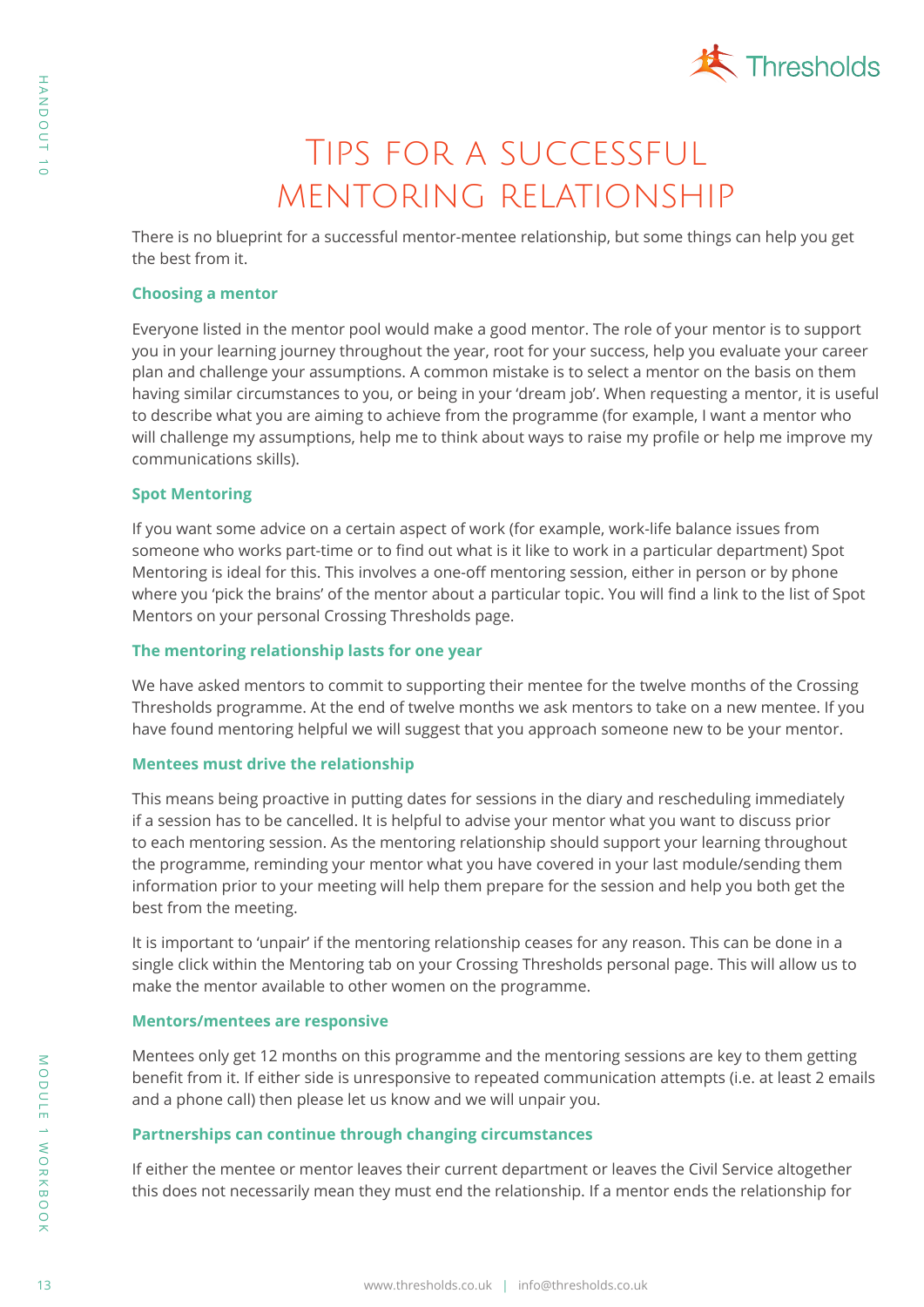

# Tips for a successful mentoring relationship

There is no blueprint for a successful mentor-mentee relationship, but some things can help you get the best from it.

#### **Choosing a mentor**

Everyone listed in the mentor pool would make a good mentor. The role of your mentor is to support you in your learning journey throughout the year, root for your success, help you evaluate your career plan and challenge your assumptions. A common mistake is to select a mentor on the basis on them having similar circumstances to you, or being in your 'dream job'. When requesting a mentor, it is useful to describe what you are aiming to achieve from the programme (for example, I want a mentor who will challenge my assumptions, help me to think about ways to raise my profile or help me improve my communications skills).

#### **Spot Mentoring**

If you want some advice on a certain aspect of work (for example, work-life balance issues from someone who works part-time or to find out what is it like to work in a particular department) Spot Mentoring is ideal for this. This involves a one-off mentoring session, either in person or by phone where you 'pick the brains' of the mentor about a particular topic. You will find a link to the list of Spot Mentors on your personal Crossing Thresholds page.

#### **The mentoring relationship lasts for one year**

We have asked mentors to commit to supporting their mentee for the twelve months of the Crossing Thresholds programme. At the end of twelve months we ask mentors to take on a new mentee. If you have found mentoring helpful we will suggest that you approach someone new to be your mentor.

#### **Mentees must drive the relationship**

This means being proactive in putting dates for sessions in the diary and rescheduling immediately if a session has to be cancelled. It is helpful to advise your mentor what you want to discuss prior to each mentoring session. As the mentoring relationship should support your learning throughout the programme, reminding your mentor what you have covered in your last module/sending them information prior to your meeting will help them prepare for the session and help you both get the best from the meeting.

It is important to 'unpair' if the mentoring relationship ceases for any reason. This can be done in a single click within the Mentoring tab on your Crossing Thresholds personal page. This will allow us to make the mentor available to other women on the programme.

#### **Mentors/mentees are responsive**

Mentees only get 12 months on this programme and the mentoring sessions are key to them getting benefit from it. If either side is unresponsive to repeated communication attempts (i.e. at least 2 emails and a phone call) then please let us know and we will unpair you.

### **Partnerships can continue through changing circumstances**

If either the mentee or mentor leaves their current department or leaves the Civil Service altogether this does not necessarily mean they must end the relationship. If a mentor ends the relationship for

HANDOUT 10

HANDOUT 10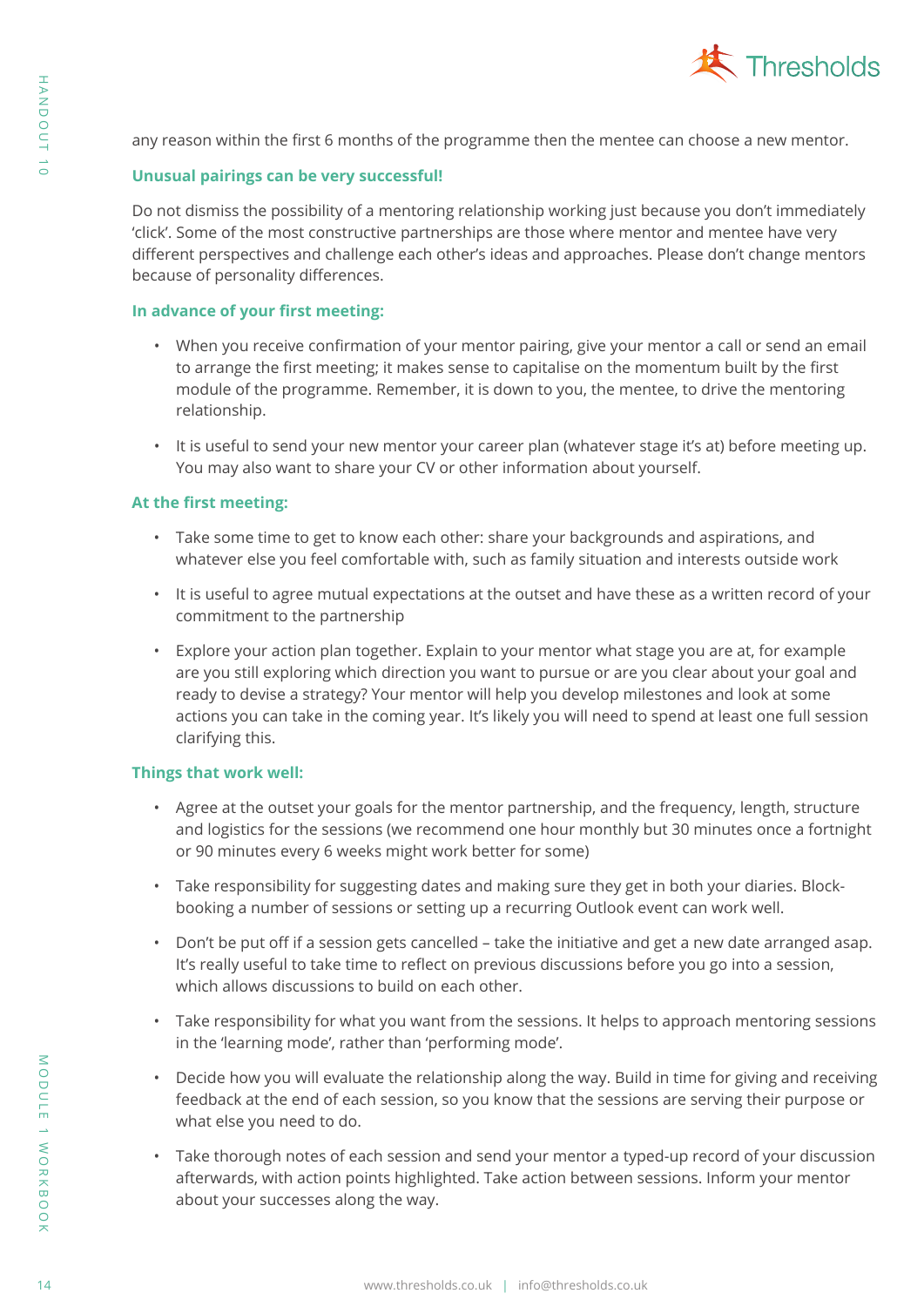

any reason within the first 6 months of the programme then the mentee can choose a new mentor.

#### **Unusual pairings can be very successful!**

Do not dismiss the possibility of a mentoring relationship working just because you don't immediately 'click'. Some of the most constructive partnerships are those where mentor and mentee have very different perspectives and challenge each other's ideas and approaches. Please don't change mentors because of personality differences.

#### **In advance of your first meeting:**

- • When you receive confirmation of your mentor pairing, give your mentor a call or send an email to arrange the first meeting; it makes sense to capitalise on the momentum built by the first module of the programme. Remember, it is down to you, the mentee, to drive the mentoring relationship.
- It is useful to send your new mentor your career plan (whatever stage it's at) before meeting up. You may also want to share your CV or other information about yourself.

#### **At the first meeting:**

- Take some time to get to know each other: share your backgrounds and aspirations, and whatever else you feel comfortable with, such as family situation and interests outside work
- It is useful to agree mutual expectations at the outset and have these as a written record of your commitment to the partnership
- Explore your action plan together. Explain to your mentor what stage you are at, for example are you still exploring which direction you want to pursue or are you clear about your goal and ready to devise a strategy? Your mentor will help you develop milestones and look at some actions you can take in the coming year. It's likely you will need to spend at least one full session clarifying this.

#### **Things that work well:**

- Agree at the outset your goals for the mentor partnership, and the frequency, length, structure and logistics for the sessions (we recommend one hour monthly but 30 minutes once a fortnight or 90 minutes every 6 weeks might work better for some)
- Take responsibility for suggesting dates and making sure they get in both your diaries. Blockbooking a number of sessions or setting up a recurring Outlook event can work well.
- • Don't be put off if a session gets cancelled take the initiative and get a new date arranged asap. It's really useful to take time to reflect on previous discussions before you go into a session, which allows discussions to build on each other.
- Take responsibility for what you want from the sessions. It helps to approach mentoring sessions in the 'learning mode', rather than 'performing mode'.
- Decide how you will evaluate the relationship along the way. Build in time for giving and receiving feedback at the end of each session, so you know that the sessions are serving their purpose or what else you need to do.
- Take thorough notes of each session and send your mentor a typed-up record of your discussion afterwards, with action points highlighted. Take action between sessions. Inform your mentor about your successes along the way.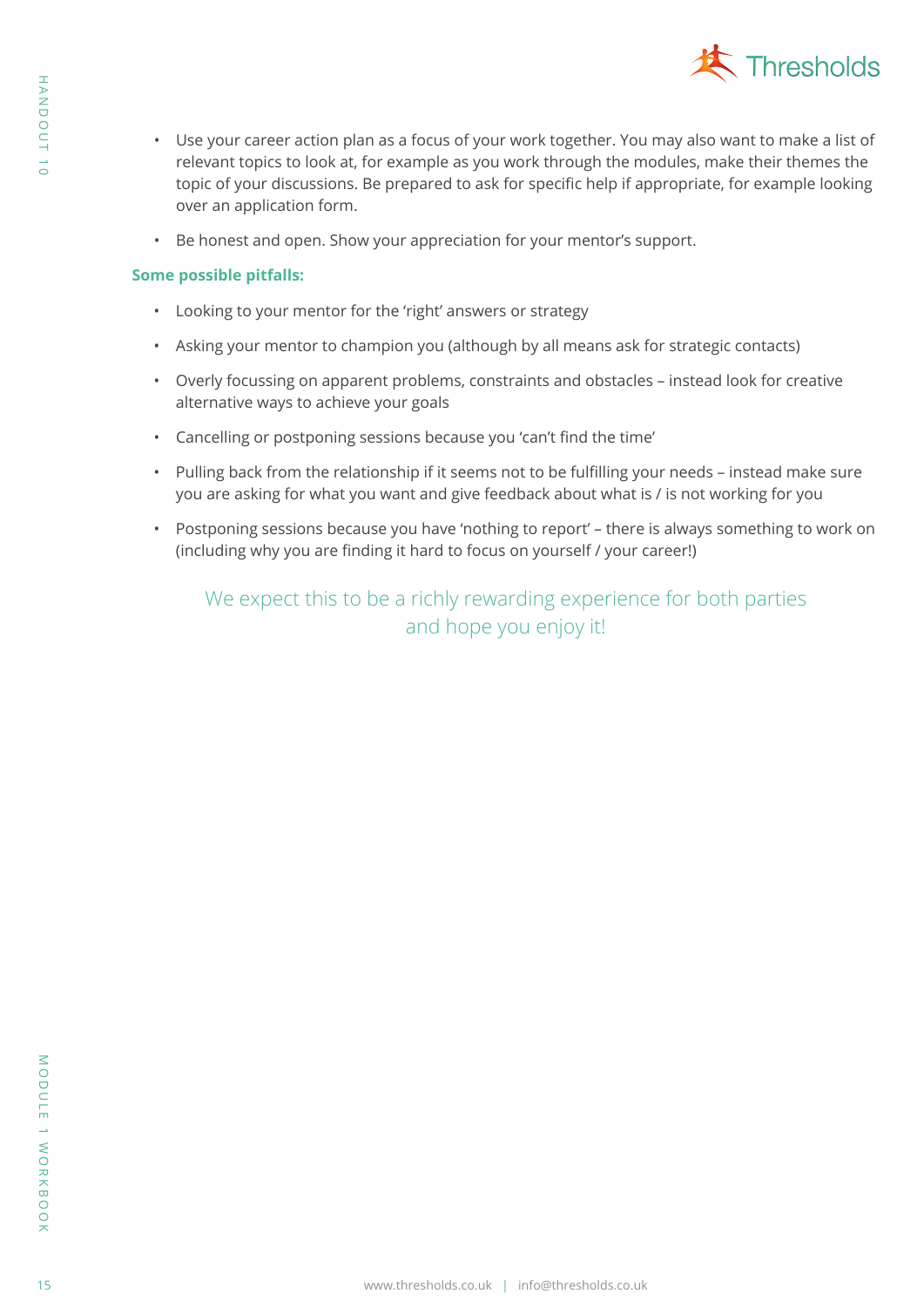

- Use your career action plan as a focus of your work together. You may also want to make a list of relevant topics to look at, for example as you work through the modules, make their themes the topic of your discussions. Be prepared to ask for specific help if appropriate, for example looking over an application form.
- Be honest and open. Show your appreciation for your mentor's support.

#### **Some possible pitfalls:**

- Looking to your mentor for the 'right' answers or strategy
- Asking your mentor to champion you (although by all means ask for strategic contacts)
- Overly focussing on apparent problems, constraints and obstacles instead look for creative alternative ways to achieve your goals
- • Cancelling or postponing sessions because you 'can't find the time'
- • Pulling back from the relationship if it seems not to be fulfilling your needs instead make sure you are asking for what you want and give feedback about what is / is not working for you
- Postponing sessions because you have 'nothing to report' there is always something to work on (including why you are finding it hard to focus on yourself / your career!)

We expect this to be a richly rewarding experience for both parties and hope you enjoy it!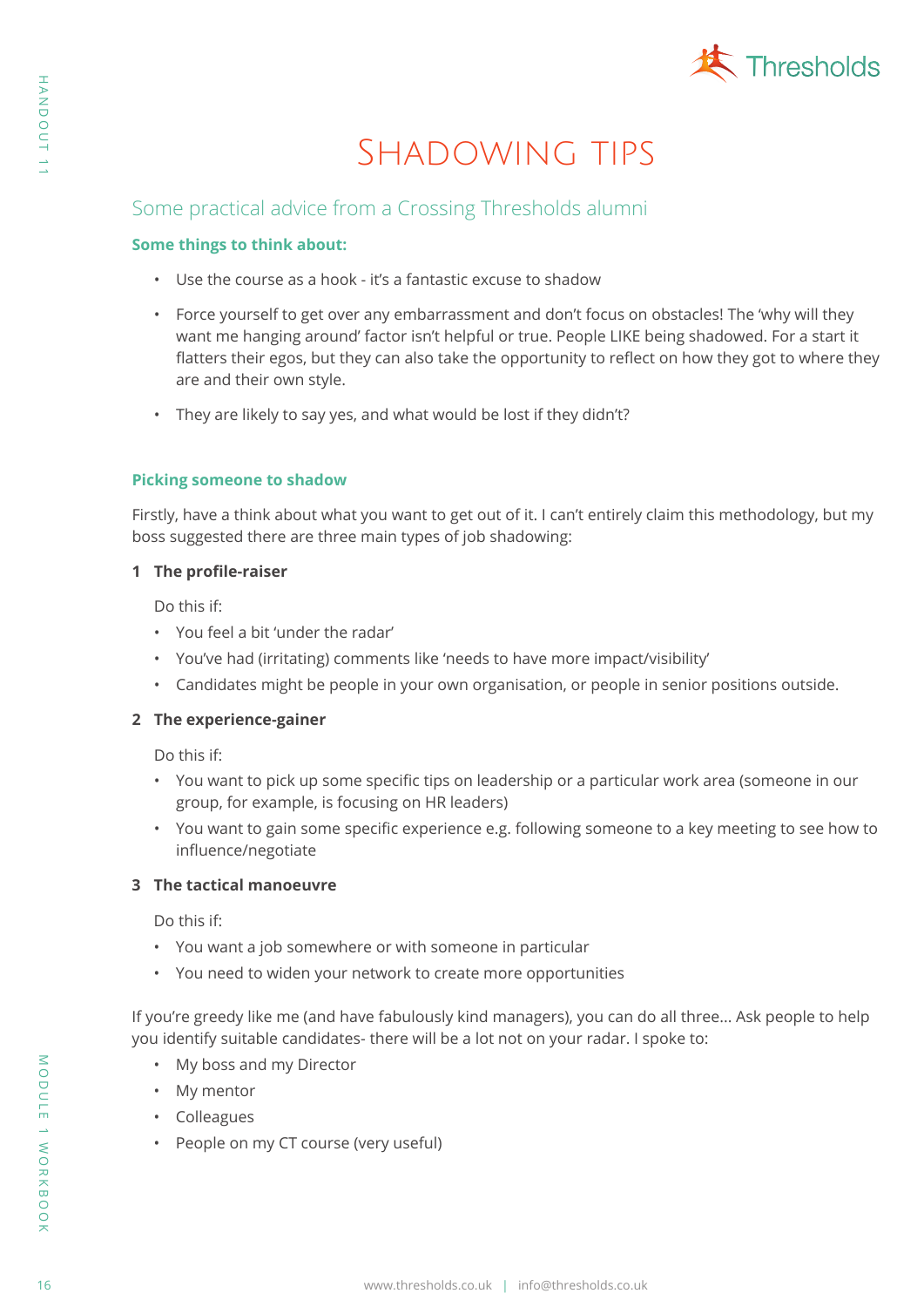

# SHADOWING TIPS

# Some practical advice from a Crossing Thresholds alumni

## **Some things to think about:**

- Use the course as a hook it's a fantastic excuse to shadow
- Force yourself to get over any embarrassment and don't focus on obstacles! The 'why will they want me hanging around' factor isn't helpful or true. People LIKE being shadowed. For a start it flatters their egos, but they can also take the opportunity to reflect on how they got to where they are and their own style.
- They are likely to say yes, and what would be lost if they didn't?

## **Picking someone to shadow**

Firstly, have a think about what you want to get out of it. I can't entirely claim this methodology, but my boss suggested there are three main types of job shadowing:

## **1 The profile-raiser**

Do this if:

- You feel a bit 'under the radar'
- You've had (irritating) comments like 'needs to have more impact/visibility'
- Candidates might be people in your own organisation, or people in senior positions outside.

# **2 The experience-gainer**

Do this if:

- • You want to pick up some specific tips on leadership or a particular work area (someone in our group, for example, is focusing on HR leaders)
- • You want to gain some specific experience e.g. following someone to a key meeting to see how to influence/negotiate

# **3 The tactical manoeuvre**

Do this if:

- You want a job somewhere or with someone in particular
- You need to widen your network to create more opportunities

If you're greedy like me (and have fabulously kind managers), you can do all three... Ask people to help you identify suitable candidates- there will be a lot not on your radar. I spoke to:

- My boss and my Director
- My mentor
- Colleagues
- People on my CT course (very useful)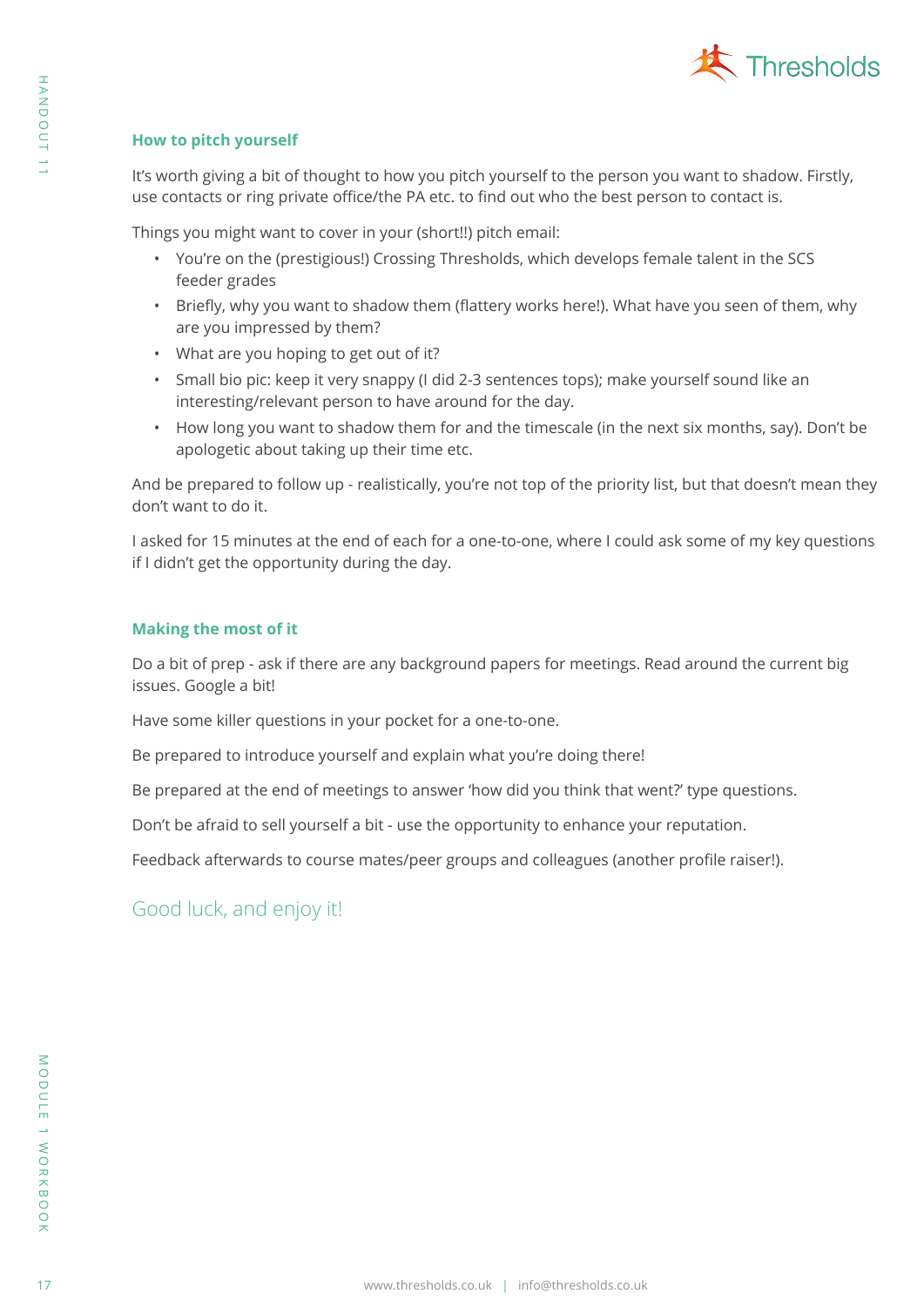

### **How to pitch yourself**

It's worth giving a bit of thought to how you pitch yourself to the person you want to shadow. Firstly, use contacts or ring private office/the PA etc. to find out who the best person to contact is.

Things you might want to cover in your (short!!) pitch email:

- You're on the (prestigious!) Crossing Thresholds, which develops female talent in the SCS feeder grades
- • Briefly, why you want to shadow them (flattery works here!). What have you seen of them, why are you impressed by them?
- What are you hoping to get out of it?
- • Small bio pic: keep it very snappy (I did 2-3 sentences tops); make yourself sound like an interesting/relevant person to have around for the day.
- How long you want to shadow them for and the timescale (in the next six months, say). Don't be apologetic about taking up their time etc.

And be prepared to follow up - realistically, you're not top of the priority list, but that doesn't mean they don't want to do it.

I asked for 15 minutes at the end of each for a one-to-one, where I could ask some of my key questions if I didn't get the opportunity during the day.

### **Making the most of it**

Do a bit of prep - ask if there are any background papers for meetings. Read around the current big issues. Google a bit!

Have some killer questions in your pocket for a one-to-one.

Be prepared to introduce yourself and explain what you're doing there!

Be prepared at the end of meetings to answer 'how did you think that went?' type questions.

Don't be afraid to sell yourself a bit - use the opportunity to enhance your reputation.

Feedback afterwards to course mates/peer groups and colleagues (another profile raiser!).

Good luck, and enjoy it!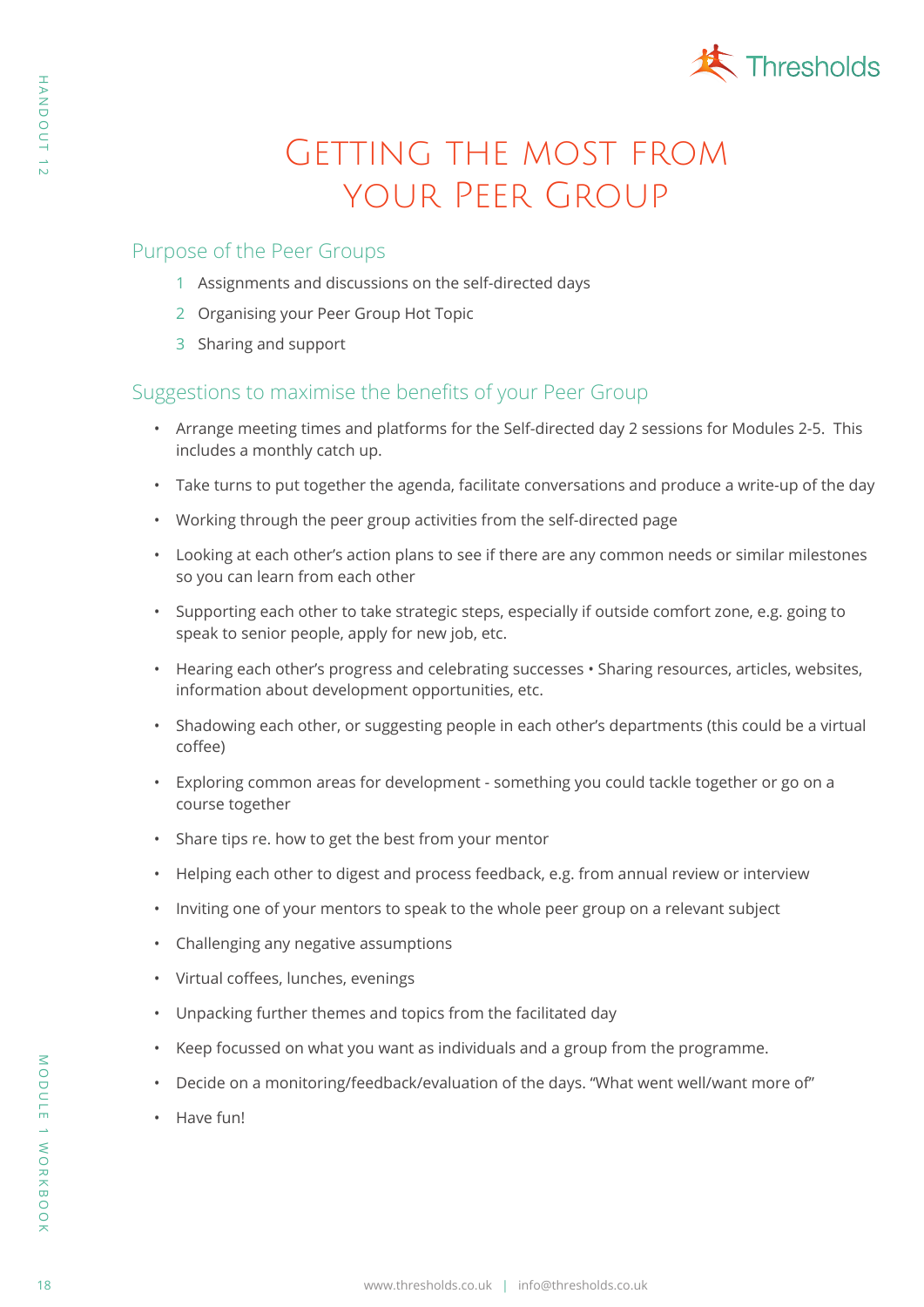

# Getting the most from your Peer Group

# Purpose of the Peer Groups

- 1 Assignments and discussions on the self-directed days
- 2 Organising your Peer Group Hot Topic
- 3 Sharing and support

# Suggestions to maximise the benefits of your Peer Group

- Arrange meeting times and platforms for the Self-directed day 2 sessions for Modules 2-5. This includes a monthly catch up.
- Take turns to put together the agenda, facilitate conversations and produce a write-up of the day
- Working through the peer group activities from the self-directed page
- Looking at each other's action plans to see if there are any common needs or similar milestones so you can learn from each other
- Supporting each other to take strategic steps, especially if outside comfort zone, e.g. going to speak to senior people, apply for new job, etc.
- Hearing each other's progress and celebrating successes Sharing resources, articles, websites, information about development opportunities, etc.
- Shadowing each other, or suggesting people in each other's departments (this could be a virtual coffee)
- Exploring common areas for development something you could tackle together or go on a course together
- Share tips re. how to get the best from your mentor
- Helping each other to digest and process feedback, e.g. from annual review or interview
- Inviting one of your mentors to speak to the whole peer group on a relevant subject
- Challenging any negative assumptions
- • Virtual coffees, lunches, evenings
- Unpacking further themes and topics from the facilitated day
- Keep focussed on what you want as individuals and a group from the programme.
- Decide on a monitoring/feedback/evaluation of the days. "What went well/want more of"
- Have fun!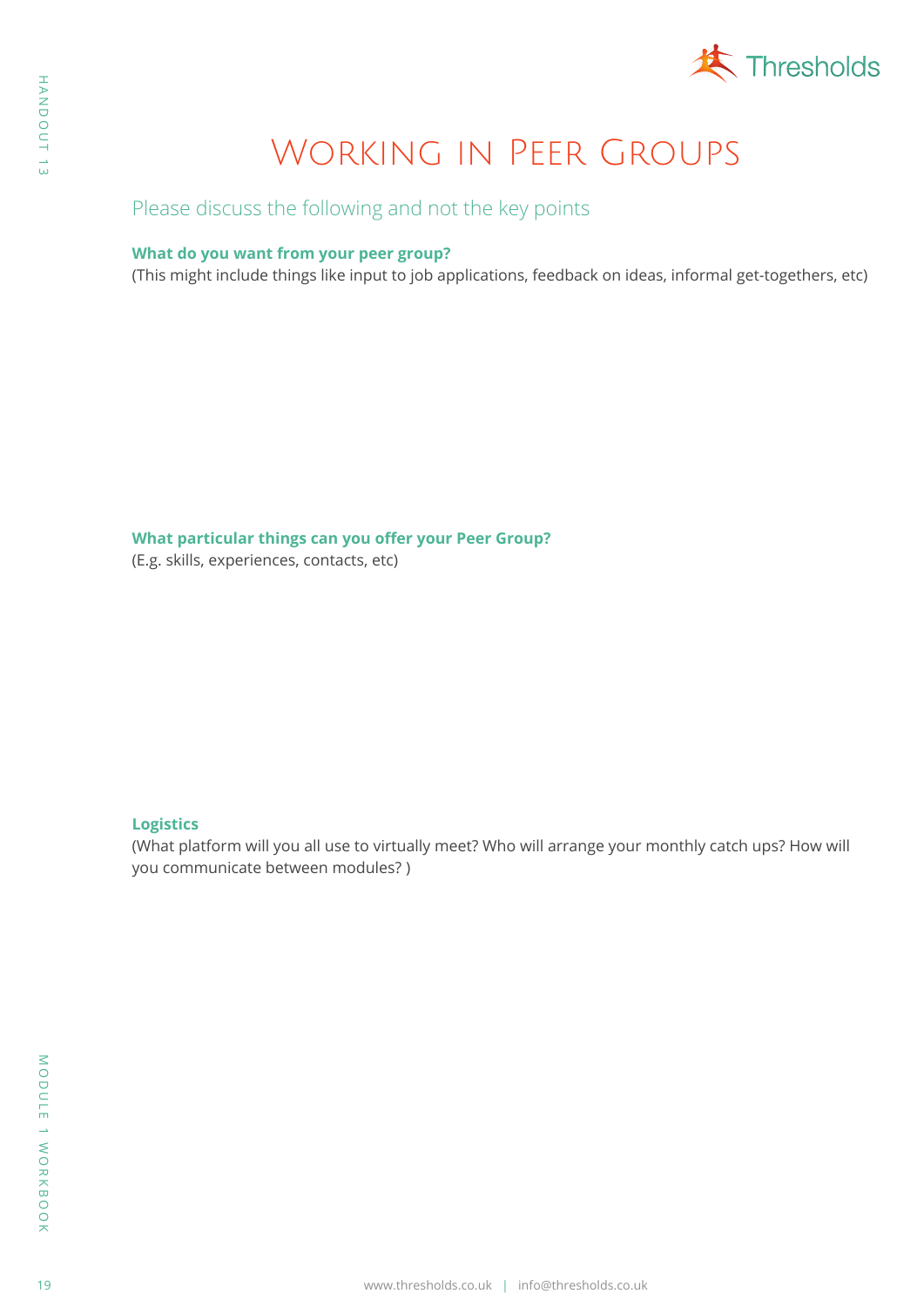

# Working in Peer Groups

Please discuss the following and not the key points

#### **What do you want from your peer group?**

(This might include things like input to job applications, feedback on ideas, informal get-togethers, etc)

**What particular things can you offer your Peer Group?**

(E.g. skills, experiences, contacts, etc)

#### **Logistics**

(What platform will you all use to virtually meet? Who will arrange your monthly catch ups? How will you communicate between modules? )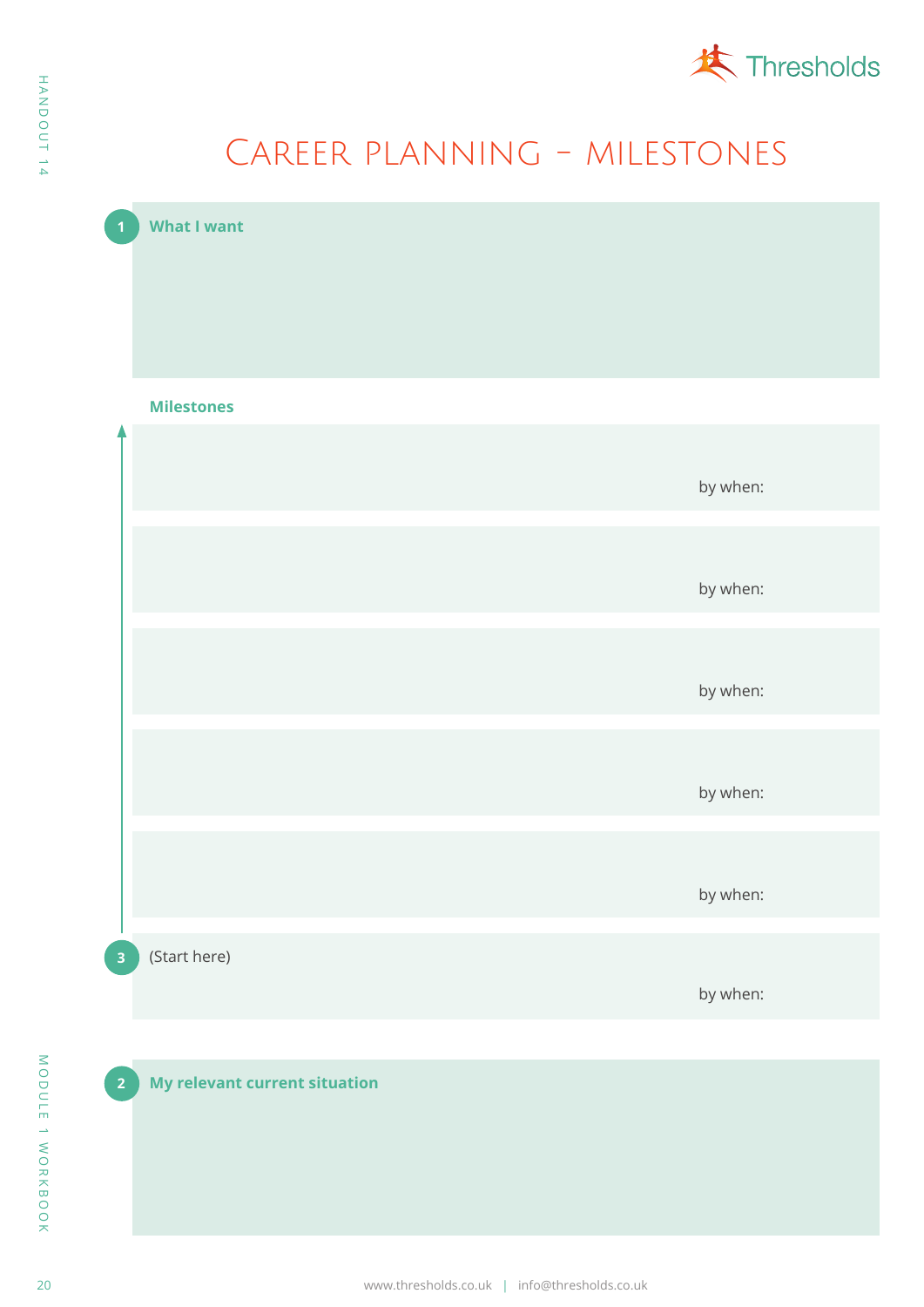

# Career planning - milestones

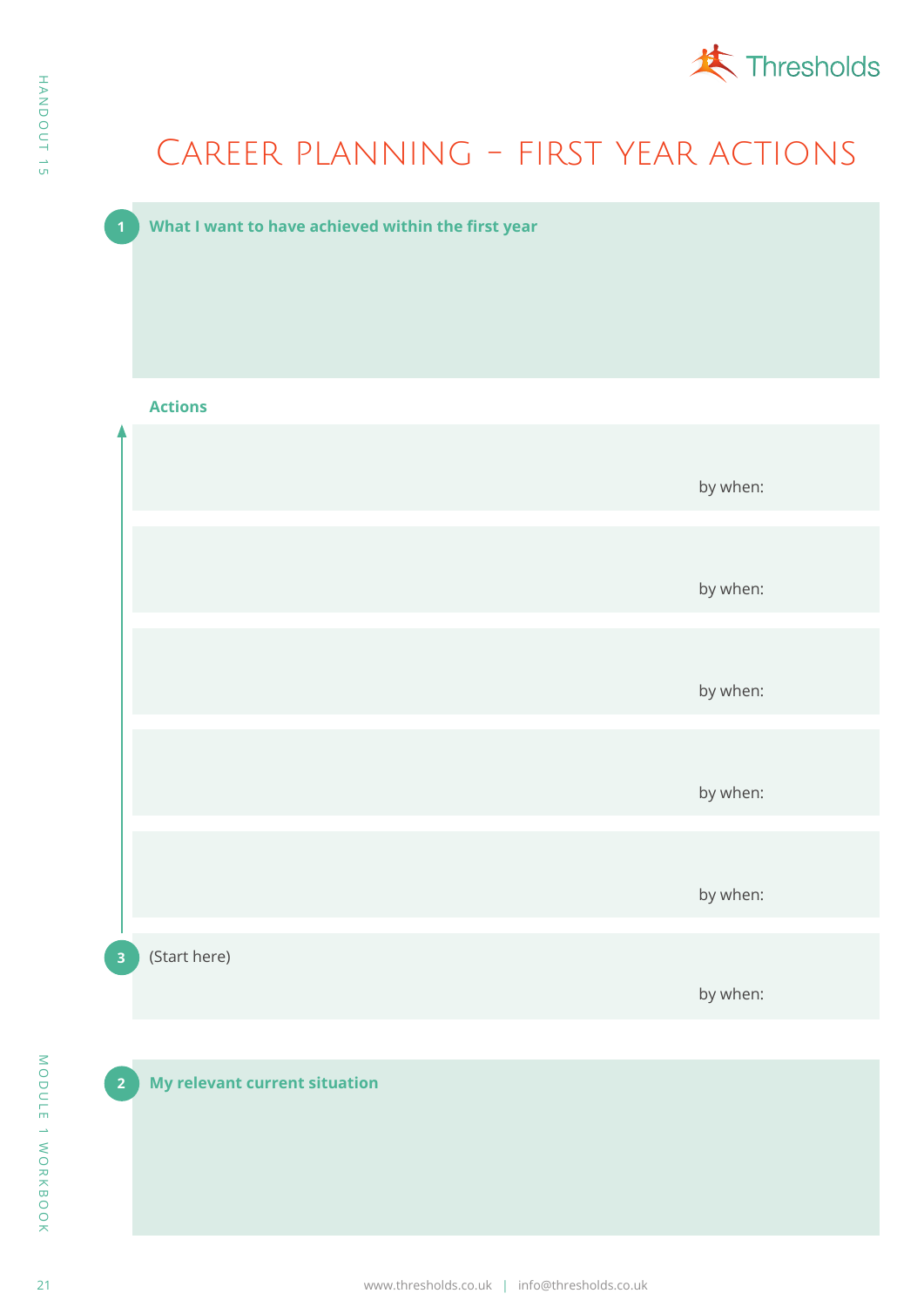

# Career planning - first year actions

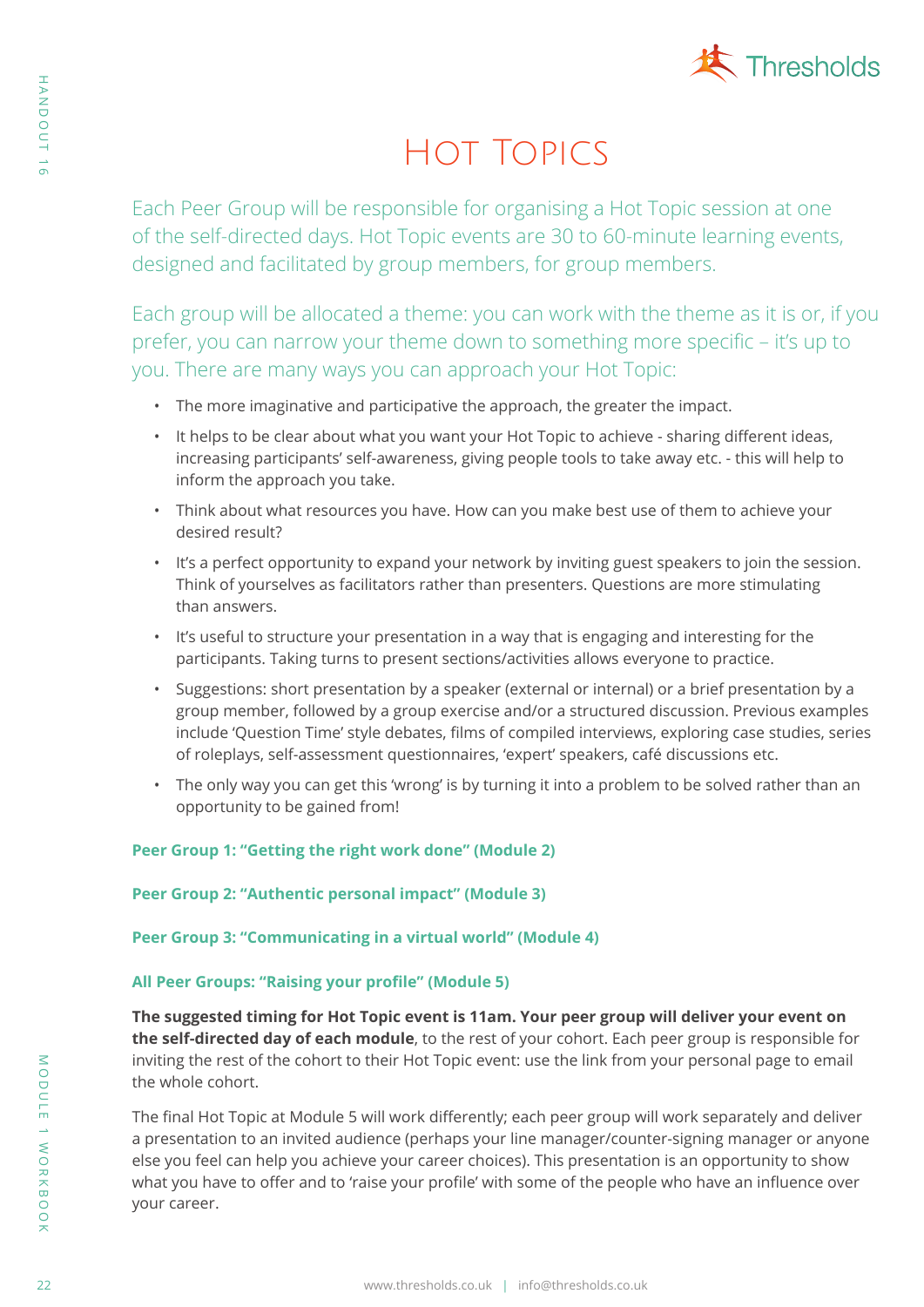

# Hot Topics

Each Peer Group will be responsible for organising a Hot Topic session at one of the self-directed days. Hot Topic events are 30 to 60-minute learning events, designed and facilitated by group members, for group members.

Each group will be allocated a theme: you can work with the theme as it is or, if you prefer, you can narrow your theme down to something more specific – it's up to you. There are many ways you can approach your Hot Topic:

- The more imaginative and participative the approach, the greater the impact.
- It helps to be clear about what you want your Hot Topic to achieve sharing different ideas, increasing participants' self-awareness, giving people tools to take away etc. - this will help to inform the approach you take.
- Think about what resources you have. How can you make best use of them to achieve your desired result?
- It's a perfect opportunity to expand your network by inviting guest speakers to join the session. Think of yourselves as facilitators rather than presenters. Questions are more stimulating than answers.
- It's useful to structure your presentation in a way that is engaging and interesting for the participants. Taking turns to present sections/activities allows everyone to practice.
- Suggestions: short presentation by a speaker (external or internal) or a brief presentation by a group member, followed by a group exercise and/or a structured discussion. Previous examples include 'Question Time' style debates, films of compiled interviews, exploring case studies, series of roleplays, self-assessment questionnaires, 'expert' speakers, café discussions etc.
- The only way you can get this 'wrong' is by turning it into a problem to be solved rather than an opportunity to be gained from!

# **Peer Group 1: "Getting the right work done" (Module 2)**

# **Peer Group 2: "Authentic personal impact" (Module 3)**

# **Peer Group 3: "Communicating in a virtual world" (Module 4)**

# **All Peer Groups: "Raising your profile" (Module 5)**

**The suggested timing for Hot Topic event is 11am. Your peer group will deliver your event on the self-directed day of each module**, to the rest of your cohort. Each peer group is responsible for inviting the rest of the cohort to their Hot Topic event: use the link from your personal page to email the whole cohort.

The final Hot Topic at Module 5 will work differently; each peer group will work separately and deliver a presentation to an invited audience (perhaps your line manager/counter-signing manager or anyone else you feel can help you achieve your career choices). This presentation is an opportunity to show what you have to offer and to 'raise your profile' with some of the people who have an influence over your career.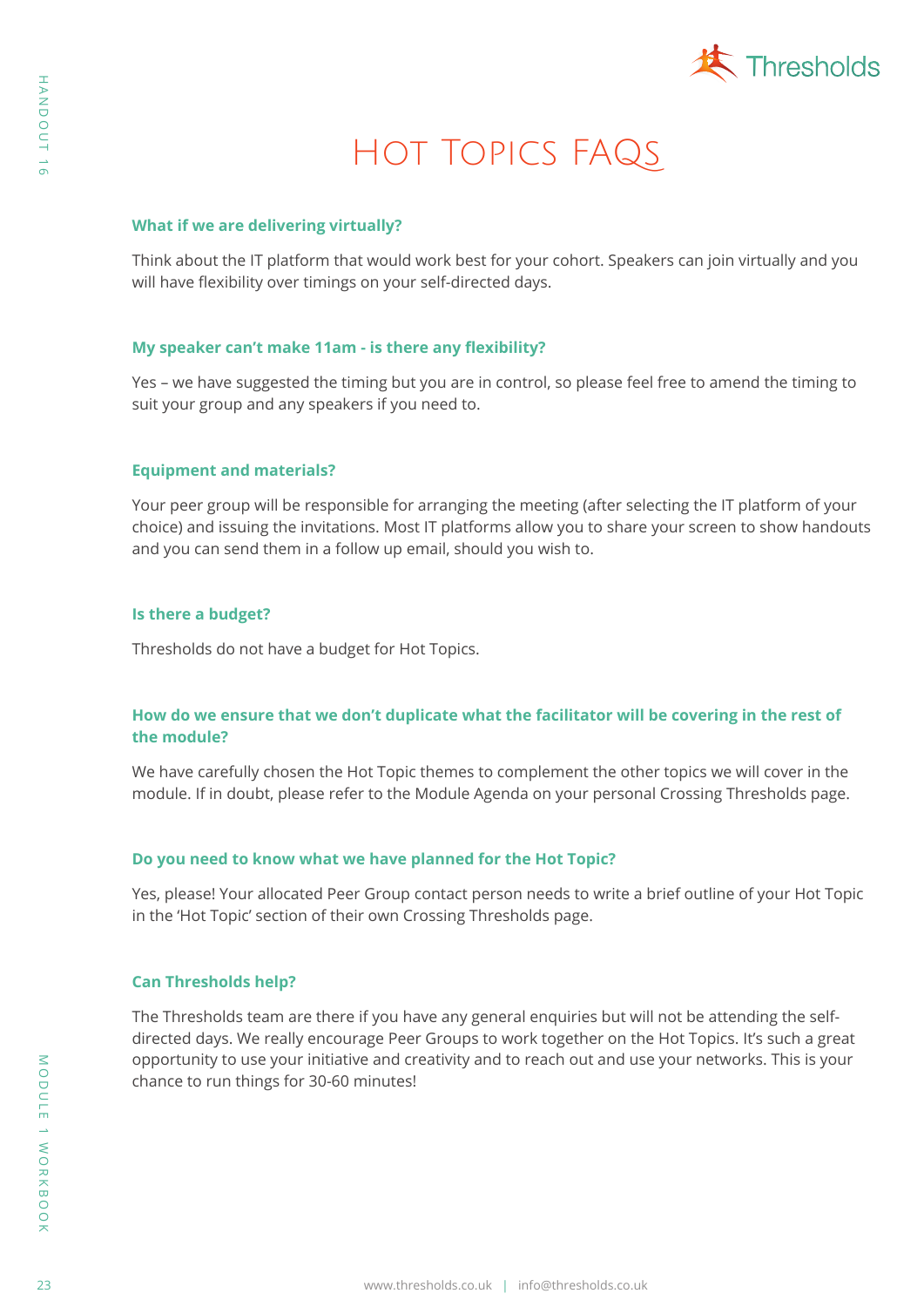

# Hot Topics FAQs

#### **What if we are delivering virtually?**

Think about the IT platform that would work best for your cohort. Speakers can join virtually and you will have flexibility over timings on your self-directed days.

#### **My speaker can't make 11am - is there any flexibility?**

Yes – we have suggested the timing but you are in control, so please feel free to amend the timing to suit your group and any speakers if you need to.

#### **Equipment and materials?**

Your peer group will be responsible for arranging the meeting (after selecting the IT platform of your choice) and issuing the invitations. Most IT platforms allow you to share your screen to show handouts and you can send them in a follow up email, should you wish to.

#### **Is there a budget?**

Thresholds do not have a budget for Hot Topics.

### **How do we ensure that we don't duplicate what the facilitator will be covering in the rest of the module?**

We have carefully chosen the Hot Topic themes to complement the other topics we will cover in the module. If in doubt, please refer to the Module Agenda on your personal Crossing Thresholds page.

### **Do you need to know what we have planned for the Hot Topic?**

Yes, please! Your allocated Peer Group contact person needs to write a brief outline of your Hot Topic in the 'Hot Topic' section of their own Crossing Thresholds page.

### **Can Thresholds help?**

The Thresholds team are there if you have any general enquiries but will not be attending the selfdirected days. We really encourage Peer Groups to work together on the Hot Topics. It's such a great opportunity to use your initiative and creativity and to reach out and use your networks. This is your chance to run things for 30-60 minutes!